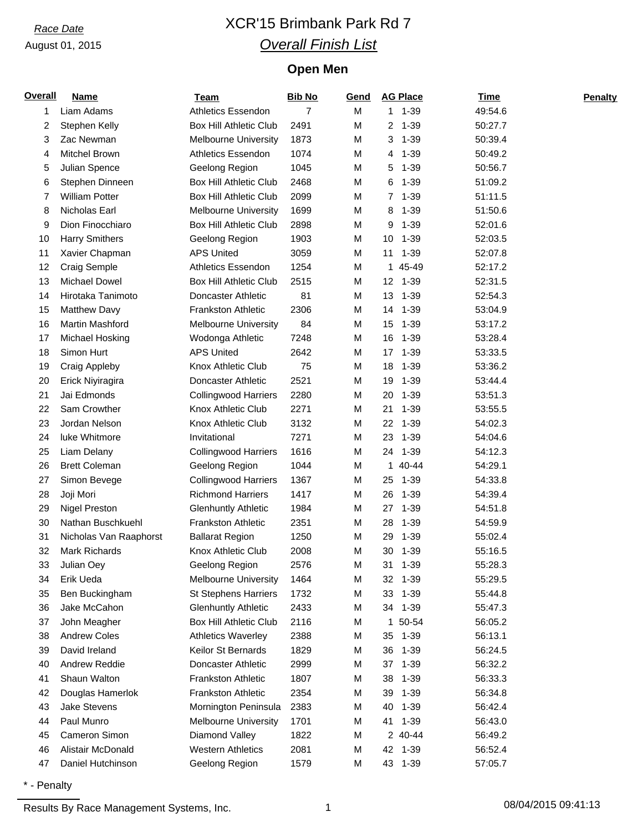# *Race Date* XCR'15 Brimbank Park Rd 7 *Overall Finish List*

## **Open Men**

| <b>Overall</b> | <b>Name</b>            | <b>Team</b>                   | <b>Bib No</b> | Gend | <b>AG Place</b> | <b>Time</b> | <b>Penalty</b> |
|----------------|------------------------|-------------------------------|---------------|------|-----------------|-------------|----------------|
| 1              | Liam Adams             | <b>Athletics Essendon</b>     | 7             | M    | $1 1 - 39$      | 49:54.6     |                |
| 2              | Stephen Kelly          | <b>Box Hill Athletic Club</b> | 2491          | M    | 2 1-39          | 50:27.7     |                |
| 3              | Zac Newman             | <b>Melbourne University</b>   | 1873          | M    | 1-39<br>3       | 50:39.4     |                |
| 4              | Mitchel Brown          | <b>Athletics Essendon</b>     | 1074          | M    | $1 - 39$<br>4   | 50:49.2     |                |
| 5              | Julian Spence          | Geelong Region                | 1045          | M    | 5<br>1-39       | 50:56.7     |                |
| 6              | Stephen Dinneen        | <b>Box Hill Athletic Club</b> | 2468          | M    | 1-39<br>6       | 51:09.2     |                |
| 7              | <b>William Potter</b>  | <b>Box Hill Athletic Club</b> | 2099          | M    | 7 1-39          | 51:11.5     |                |
| 8              | Nicholas Earl          | <b>Melbourne University</b>   | 1699          | M    | $1 - 39$<br>8   | 51:50.6     |                |
| 9              | Dion Finocchiaro       | Box Hill Athletic Club        | 2898          | M    | 9<br>1-39       | 52:01.6     |                |
| 10             | <b>Harry Smithers</b>  | Geelong Region                | 1903          | M    | 1-39<br>10      | 52:03.5     |                |
| 11             | Xavier Chapman         | <b>APS United</b>             | 3059          | M    | $1 - 39$<br>11  | 52:07.8     |                |
| 12             | Craig Semple           | <b>Athletics Essendon</b>     | 1254          | M    | 45-49<br>1      | 52:17.2     |                |
| 13             | Michael Dowel          | <b>Box Hill Athletic Club</b> | 2515          | M    | 12 1-39         | 52:31.5     |                |
| 14             | Hirotaka Tanimoto      | Doncaster Athletic            | 81            | M    | 13 1-39         | 52:54.3     |                |
| 15             | <b>Matthew Davy</b>    | <b>Frankston Athletic</b>     | 2306          | M    | 1-39<br>14      | 53:04.9     |                |
| 16             | Martin Mashford        | <b>Melbourne University</b>   | 84            | M    | 15<br>1-39      | 53:17.2     |                |
| 17             | Michael Hosking        | Wodonga Athletic              | 7248          | M    | 16<br>1-39      | 53:28.4     |                |
| 18             | Simon Hurt             | <b>APS United</b>             | 2642          | M    | 17 1-39         | 53:33.5     |                |
| 19             | Craig Appleby          | <b>Knox Athletic Club</b>     | 75            | M    | 18<br>$1 - 39$  | 53:36.2     |                |
| 20             | Erick Niyiragira       | Doncaster Athletic            | 2521          | M    | $1 - 39$<br>19  | 53:44.4     |                |
| 21             | Jai Edmonds            | <b>Collingwood Harriers</b>   | 2280          | M    | 20<br>$1 - 39$  | 53:51.3     |                |
| 22             | Sam Crowther           | Knox Athletic Club            | 2271          | M    | $1 - 39$<br>21  | 53:55.5     |                |
| 23             | Jordan Nelson          | Knox Athletic Club            | 3132          | M    | 22<br>$1 - 39$  | 54:02.3     |                |
| 24             | luke Whitmore          | Invitational                  | 7271          | M    | 23<br>$1 - 39$  | 54:04.6     |                |
| 25             | Liam Delany            | <b>Collingwood Harriers</b>   | 1616          | M    | 24<br>1-39      | 54:12.3     |                |
| 26             | <b>Brett Coleman</b>   | Geelong Region                | 1044          | M    | 1 40-44         | 54:29.1     |                |
| 27             | Simon Bevege           | <b>Collingwood Harriers</b>   | 1367          | M    | 1-39<br>25      | 54:33.8     |                |
| 28             | Joji Mori              | <b>Richmond Harriers</b>      | 1417          | M    | 26<br>$1 - 39$  | 54:39.4     |                |
| 29             | <b>Nigel Preston</b>   | <b>Glenhuntly Athletic</b>    | 1984          | M    | 27<br>$1 - 39$  | 54:51.8     |                |
| 30             | Nathan Buschkuehl      | Frankston Athletic            | 2351          | M    | 28<br>$1 - 39$  | 54:59.9     |                |
| 31             | Nicholas Van Raaphorst | <b>Ballarat Region</b>        | 1250          | M    | $1 - 39$<br>29  | 55:02.4     |                |
| 32             | Mark Richards          | Knox Athletic Club            | 2008          | М    | 30<br>1-39      | 55:16.5     |                |
| 33             | Julian Oey             | Geelong Region                | 2576          | M    | 31<br>$1 - 39$  | 55:28.3     |                |
| 34             | Erik Ueda              | <b>Melbourne University</b>   | 1464          | M    | 32<br>1-39      | 55:29.5     |                |
| 35             | Ben Buckingham         | <b>St Stephens Harriers</b>   | 1732          | M    | $1 - 39$<br>33  | 55:44.8     |                |
| 36             | Jake McCahon           | <b>Glenhuntly Athletic</b>    | 2433          | М    | 34 1-39         | 55:47.3     |                |
| 37             | John Meagher           | <b>Box Hill Athletic Club</b> | 2116          | M    | 50-54<br>1      | 56:05.2     |                |
| 38             | <b>Andrew Coles</b>    | <b>Athletics Waverley</b>     | 2388          | M    | $1 - 39$<br>35  | 56:13.1     |                |
| 39             | David Ireland          | Keilor St Bernards            | 1829          | М    | 36<br>$1 - 39$  | 56:24.5     |                |
| 40             | Andrew Reddie          | Doncaster Athletic            | 2999          | М    | 37<br>$1 - 39$  | 56:32.2     |                |
| 41             | Shaun Walton           | Frankston Athletic            | 1807          | M    | 38<br>$1 - 39$  | 56:33.3     |                |
| 42             | Douglas Hamerlok       | <b>Frankston Athletic</b>     | 2354          | M    | 39<br>1-39      | 56:34.8     |                |
| 43             | Jake Stevens           | Mornington Peninsula          | 2383          | M    | 40<br>$1 - 39$  | 56:42.4     |                |
| 44             | Paul Munro             | <b>Melbourne University</b>   | 1701          | M    | 1-39<br>41      | 56:43.0     |                |
| 45             | Cameron Simon          | Diamond Valley                | 1822          | M    | 2 40-44         | 56:49.2     |                |
| 46             | Alistair McDonald      | <b>Western Athletics</b>      | 2081          | M    | 42 1-39         | 56:52.4     |                |
| 47             | Daniel Hutchinson      | Geelong Region                | 1579          | M    | 43 1-39         | 57:05.7     |                |
|                |                        |                               |               |      |                 |             |                |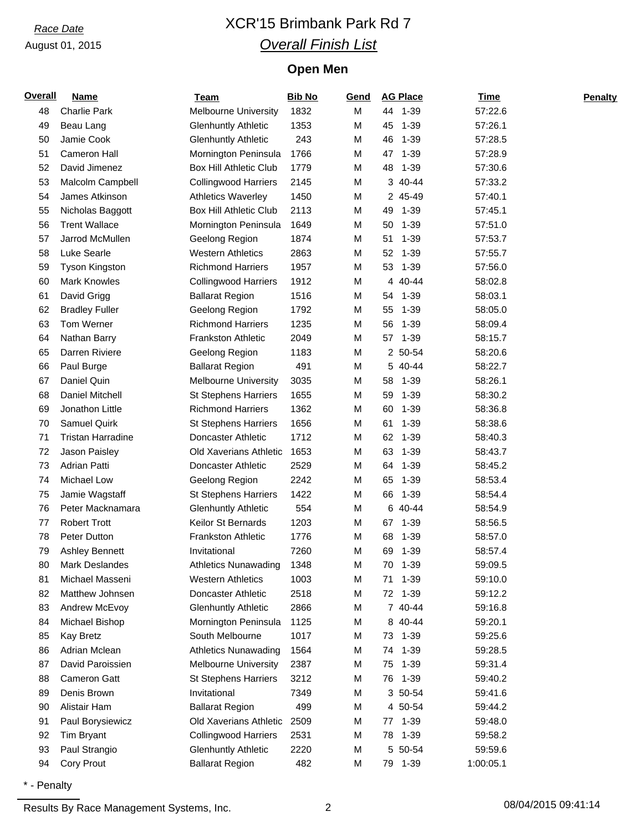# *Race Date* XCR'15 Brimbank Park Rd 7 *Overall Finish List*

## **Open Men**

| <b>Overall</b> | <b>Name</b>              | <b>Team</b>                   | <b>Bib No</b> | Gend |        | <b>AG Place</b> | <b>Time</b> | <b>Penalty</b> |
|----------------|--------------------------|-------------------------------|---------------|------|--------|-----------------|-------------|----------------|
| 48             | <b>Charlie Park</b>      | <b>Melbourne University</b>   | 1832          | M    |        | 44 1-39         | 57:22.6     |                |
| 49             | Beau Lang                | <b>Glenhuntly Athletic</b>    | 1353          | M    | 45     | 1-39            | 57:26.1     |                |
| 50             | Jamie Cook               | <b>Glenhuntly Athletic</b>    | 243           | М    | 46     | $1 - 39$        | 57:28.5     |                |
| 51             | Cameron Hall             | Mornington Peninsula          | 1766          | M    | 47     | $1 - 39$        | 57:28.9     |                |
| 52             | David Jimenez            | <b>Box Hill Athletic Club</b> | 1779          | M    | 48     | 1-39            | 57:30.6     |                |
| 53             | Malcolm Campbell         | <b>Collingwood Harriers</b>   | 2145          | М    |        | 3 40-44         | 57:33.2     |                |
| 54             | James Atkinson           | <b>Athletics Waverley</b>     | 1450          | M    |        | 2 45-49         | 57:40.1     |                |
| 55             | Nicholas Baggott         | <b>Box Hill Athletic Club</b> | 2113          | M    | 49     | 1-39            | 57:45.1     |                |
| 56             | <b>Trent Wallace</b>     | Mornington Peninsula          | 1649          | M    | 50     | 1-39            | 57:51.0     |                |
| 57             | Jarrod McMullen          | Geelong Region                | 1874          | М    | 51     | 1-39            | 57:53.7     |                |
| 58             | Luke Searle              | <b>Western Athletics</b>      | 2863          | М    | 52     | $1 - 39$        | 57:55.7     |                |
| 59             | <b>Tyson Kingston</b>    | <b>Richmond Harriers</b>      | 1957          | M    | 53     | 1-39            | 57:56.0     |                |
| 60             | <b>Mark Knowles</b>      | <b>Collingwood Harriers</b>   | 1912          | M    | 4      | 40-44           | 58:02.8     |                |
| 61             | David Grigg              | <b>Ballarat Region</b>        | 1516          | М    | 54     | 1-39            | 58:03.1     |                |
| 62             | <b>Bradley Fuller</b>    | Geelong Region                | 1792          | М    | 55     | $1 - 39$        | 58:05.0     |                |
| 63             | Tom Werner               | <b>Richmond Harriers</b>      | 1235          | М    | 56     | $1 - 39$        | 58:09.4     |                |
| 64             | Nathan Barry             | <b>Frankston Athletic</b>     | 2049          | M    |        | 57 1-39         | 58:15.7     |                |
| 65             | Darren Riviere           | Geelong Region                | 1183          | М    |        | 2 50-54         | 58:20.6     |                |
| 66             | Paul Burge               | <b>Ballarat Region</b>        | 491           | M    |        | 5 40-44         | 58:22.7     |                |
| 67             | Daniel Quin              | <b>Melbourne University</b>   | 3035          | M    | 58     | 1-39            | 58:26.1     |                |
| 68             | Daniel Mitchell          | <b>St Stephens Harriers</b>   | 1655          | M    | 59     | 1-39            | 58:30.2     |                |
| 69             | Jonathon Little          | <b>Richmond Harriers</b>      | 1362          | M    | 60     | 1-39            | 58:36.8     |                |
| 70             | Samuel Quirk             | <b>St Stephens Harriers</b>   | 1656          | М    | 61     | $1 - 39$        | 58:38.6     |                |
| 71             | <b>Tristan Harradine</b> | Doncaster Athletic            | 1712          | М    | 62     | $1 - 39$        | 58:40.3     |                |
| 72             | Jason Paisley            | <b>Old Xaverians Athletic</b> | 1653          | M    | 63     | 1-39            | 58:43.7     |                |
| 73             | Adrian Patti             | Doncaster Athletic            | 2529          | M    | 64     | 1-39            | 58:45.2     |                |
| 74             | <b>Michael Low</b>       | Geelong Region                | 2242          | M    | 65     | $1 - 39$        | 58:53.4     |                |
| 75             | Jamie Wagstaff           | <b>St Stephens Harriers</b>   | 1422          | M    | 66     | $1 - 39$        | 58:54.4     |                |
| 76             | Peter Macknamara         | <b>Glenhuntly Athletic</b>    | 554           | M    | 6      | 40-44           | 58:54.9     |                |
| 77             | <b>Robert Trott</b>      | Keilor St Bernards            | 1203          | М    |        | 67 1-39         | 58:56.5     |                |
| 78             | Peter Dutton             | <b>Frankston Athletic</b>     | 1776          | М    | 68     | $1 - 39$        | 58:57.0     |                |
| 79             | <b>Ashley Bennett</b>    | Invitational                  | 7260          | M    | 69     | 1-39            | 58:57.4     |                |
| 80             | Mark Deslandes           | <b>Athletics Nunawading</b>   | 1348          | M    | $70\,$ | $1 - 39$        | 59:09.5     |                |
| 81             | Michael Masseni          | <b>Western Athletics</b>      | 1003          | M    | 71     | 1-39            | 59:10.0     |                |
| 82             | Matthew Johnsen          | Doncaster Athletic            | 2518          | М    |        | 72 1-39         | 59:12.2     |                |
| 83             | Andrew McEvoy            | <b>Glenhuntly Athletic</b>    | 2866          | М    |        | 7 40-44         | 59:16.8     |                |
| 84             | Michael Bishop           | Mornington Peninsula          | 1125          | М    |        | 8 40-44         | 59:20.1     |                |
| 85             | <b>Kay Bretz</b>         | South Melbourne               | 1017          | М    |        | 73 1-39         | 59:25.6     |                |
| 86             | Adrian Mclean            | <b>Athletics Nunawading</b>   | 1564          | М    | 74     | 1-39            | 59:28.5     |                |
| 87             | David Paroissien         | <b>Melbourne University</b>   | 2387          | М    | 75     | $1 - 39$        | 59:31.4     |                |
| 88             | <b>Cameron Gatt</b>      | <b>St Stephens Harriers</b>   | 3212          | M    | 76     | $1 - 39$        | 59:40.2     |                |
| 89             | Denis Brown              | Invitational                  | 7349          | М    |        | 3 50-54         | 59:41.6     |                |
| 90             | Alistair Ham             | <b>Ballarat Region</b>        | 499           | М    |        | 4 50-54         | 59:44.2     |                |
| 91             | Paul Borysiewicz         | Old Xaverians Athletic        | 2509          | М    | 77     | 1-39            | 59:48.0     |                |
| 92             | Tim Bryant               | <b>Collingwood Harriers</b>   | 2531          | M    |        | 78 1-39         | 59:58.2     |                |
| 93             | Paul Strangio            | <b>Glenhuntly Athletic</b>    | 2220          | M    |        | 5 50-54         | 59:59.6     |                |
| 94             | Cory Prout               | <b>Ballarat Region</b>        | 482           | M    |        | 79 1-39         | 1:00:05.1   |                |
|                |                          |                               |               |      |        |                 |             |                |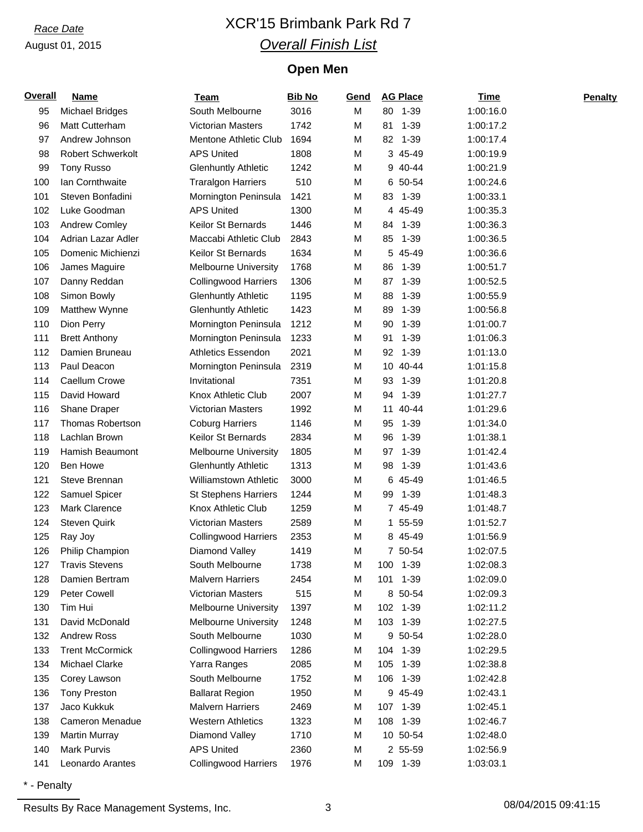# *Race Date* XCR'15 Brimbank Park Rd 7 *Overall Finish List*

## **Open Men**

| <b>Overall</b> | <b>Name</b>              | <u>Team</u>                  | <b>Bib No</b> | Gend | <b>AG Place</b> | <b>Time</b> | <b>Penalty</b> |
|----------------|--------------------------|------------------------------|---------------|------|-----------------|-------------|----------------|
| 95             | <b>Michael Bridges</b>   | South Melbourne              | 3016          | Μ    | 80 1-39         | 1:00:16.0   |                |
| 96             | Matt Cutterham           | Victorian Masters            | 1742          | М    | 81<br>$1 - 39$  | 1:00:17.2   |                |
| 97             | Andrew Johnson           | Mentone Athletic Club        | 1694          | М    | $1 - 39$<br>82  | 1:00:17.4   |                |
| 98             | <b>Robert Schwerkolt</b> | <b>APS United</b>            | 1808          | Μ    | 3 45-49         | 1:00:19.9   |                |
| 99             | <b>Tony Russo</b>        | <b>Glenhuntly Athletic</b>   | 1242          | М    | 9 40-44         | 1:00:21.9   |                |
| 100            | Ian Cornthwaite          | <b>Traralgon Harriers</b>    | 510           | М    | 6 50-54         | 1:00:24.6   |                |
| 101            | Steven Bonfadini         | Mornington Peninsula         | 1421          | М    | $1 - 39$<br>83  | 1:00:33.1   |                |
| 102            | Luke Goodman             | <b>APS United</b>            | 1300          | Μ    | 4 45-49         | 1:00:35.3   |                |
| 103            | Andrew Comley            | Keilor St Bernards           | 1446          | М    | 84 1-39         | 1:00:36.3   |                |
| 104            | Adrian Lazar Adler       | Maccabi Athletic Club        | 2843          | М    | 85<br>1-39      | 1:00:36.5   |                |
| 105            | Domenic Michienzi        | Keilor St Bernards           | 1634          | М    | 5 45-49         | 1:00:36.6   |                |
| 106            | James Maguire            | <b>Melbourne University</b>  | 1768          | М    | 86<br>$1 - 39$  | 1:00:51.7   |                |
| 107            | Danny Reddan             | <b>Collingwood Harriers</b>  | 1306          | М    | $1 - 39$<br>87  | 1:00:52.5   |                |
| 108            | Simon Bowly              | <b>Glenhuntly Athletic</b>   | 1195          | М    | 88<br>$1 - 39$  | 1:00:55.9   |                |
| 109            | Matthew Wynne            | <b>Glenhuntly Athletic</b>   | 1423          | М    | 89<br>$1 - 39$  | 1:00:56.8   |                |
| 110            | Dion Perry               | Mornington Peninsula         | 1212          | М    | 90<br>$1 - 39$  | 1:01:00.7   |                |
| 111            | <b>Brett Anthony</b>     | Mornington Peninsula         | 1233          | М    | 91<br>$1 - 39$  | 1:01:06.3   |                |
| 112            | Damien Bruneau           | <b>Athletics Essendon</b>    | 2021          | М    | 92<br>1-39      | 1:01:13.0   |                |
| 113            | Paul Deacon              | Mornington Peninsula         | 2319          | М    | 10 40-44        | 1:01:15.8   |                |
| 114            | Caellum Crowe            | Invitational                 | 7351          | М    | 93<br>$1 - 39$  | 1:01:20.8   |                |
| 115            | David Howard             | Knox Athletic Club           | 2007          | М    | $1 - 39$<br>94  | 1:01:27.7   |                |
| 116            | Shane Draper             | <b>Victorian Masters</b>     | 1992          | М    | 40-44<br>11     | 1:01:29.6   |                |
| 117            | <b>Thomas Robertson</b>  | <b>Coburg Harriers</b>       | 1146          | Μ    | 95<br>$1 - 39$  | 1:01:34.0   |                |
| 118            | Lachlan Brown            | Keilor St Bernards           | 2834          | М    | 96<br>$1 - 39$  | 1:01:38.1   |                |
| 119            | Hamish Beaumont          | <b>Melbourne University</b>  | 1805          | М    | 97<br>1-39      | 1:01:42.4   |                |
| 120            | <b>Ben Howe</b>          | <b>Glenhuntly Athletic</b>   | 1313          | М    | 98<br>1-39      | 1:01:43.6   |                |
| 121            | Steve Brennan            | <b>Williamstown Athletic</b> | 3000          | М    | 6 45-49         | 1:01:46.5   |                |
| 122            | Samuel Spicer            | <b>St Stephens Harriers</b>  | 1244          | М    | 1-39<br>99      | 1:01:48.3   |                |
| 123            | Mark Clarence            | Knox Athletic Club           | 1259          | М    | 7 45-49         | 1:01:48.7   |                |
| 124            | <b>Steven Quirk</b>      | <b>Victorian Masters</b>     | 2589          | М    | 1 55-59         | 1:01:52.7   |                |
| 125            | Ray Joy                  | <b>Collingwood Harriers</b>  | 2353          | М    | 8 45-49         | 1:01:56.9   |                |
| 126            | Philip Champion          | Diamond Valley               | 1419          | М    | 7 50-54         | 1:02:07.5   |                |
| 127            | <b>Travis Stevens</b>    | South Melbourne              | 1738          | М    | 100<br>$1 - 39$ | 1:02:08.3   |                |
| 128            | Damien Bertram           | <b>Malvern Harriers</b>      | 2454          | М    | 101 1-39        | 1:02:09.0   |                |
| 129            | Peter Cowell             | <b>Victorian Masters</b>     | 515           | М    | 8 50-54         | 1:02:09.3   |                |
| 130            | Tim Hui                  | <b>Melbourne University</b>  | 1397          | М    | 102 1-39        | 1:02:11.2   |                |
| 131            | David McDonald           | Melbourne University         | 1248          | М    | 103 1-39        | 1:02:27.5   |                |
| 132            | <b>Andrew Ross</b>       | South Melbourne              | 1030          | Μ    | 9 50-54         | 1:02:28.0   |                |
| 133            | <b>Trent McCormick</b>   | <b>Collingwood Harriers</b>  | 1286          | М    | 104 1-39        | 1:02:29.5   |                |
| 134            | <b>Michael Clarke</b>    | Yarra Ranges                 | 2085          | М    | 105<br>1-39     | 1:02:38.8   |                |
| 135            | Corey Lawson             | South Melbourne              | 1752          | М    | 106 1-39        | 1:02:42.8   |                |
| 136            | <b>Tony Preston</b>      | <b>Ballarat Region</b>       | 1950          | М    | 9 45-49         | 1:02:43.1   |                |
| 137            | Jaco Kukkuk              | <b>Malvern Harriers</b>      | 2469          | М    | 107 1-39        | 1:02:45.1   |                |
| 138            | Cameron Menadue          | <b>Western Athletics</b>     | 1323          | М    | 108 1-39        | 1:02:46.7   |                |
| 139            | <b>Martin Murray</b>     | Diamond Valley               | 1710          | Μ    | 10 50-54        | 1:02:48.0   |                |
| 140            | Mark Purvis              | <b>APS United</b>            | 2360          | Μ    | 2 55-59         | 1:02:56.9   |                |
| 141            | Leonardo Arantes         | <b>Collingwood Harriers</b>  | 1976          | М    | 109 1-39        | 1:03:03.1   |                |
|                |                          |                              |               |      |                 |             |                |

\* - Penalty

Results By Race Management Systems, Inc. 23 3 2004/2015 08/04/2015 09:41:15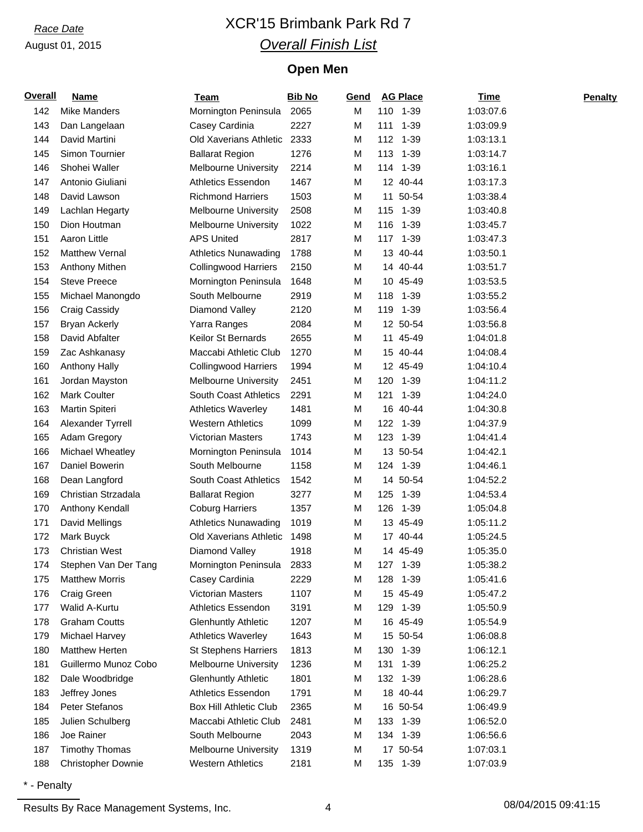# *Race Date* XCR'15 Brimbank Park Rd 7 *Overall Finish List*

## **Open Men**

| <b>Overall</b> | <b>Name</b>               | <b>Team</b>                  | <b>Bib No</b> | Gend |     | <b>AG Place</b> | <b>Time</b> | <b>Penalty</b> |
|----------------|---------------------------|------------------------------|---------------|------|-----|-----------------|-------------|----------------|
| 142            | <b>Mike Manders</b>       | Mornington Peninsula         | 2065          | M    |     | 110 1-39        | 1:03:07.6   |                |
| 143            | Dan Langelaan             | Casey Cardinia               | 2227          | M    | 111 | $1 - 39$        | 1:03:09.9   |                |
| 144            | David Martini             | Old Xaverians Athletic       | 2333          | M    | 112 | 1-39            | 1:03:13.1   |                |
| 145            | Simon Tournier            | <b>Ballarat Region</b>       | 1276          | M    |     | 113 1-39        | 1:03:14.7   |                |
| 146            | Shohei Waller             | <b>Melbourne University</b>  | 2214          | M    |     | 114 1-39        | 1:03:16.1   |                |
| 147            | Antonio Giuliani          | <b>Athletics Essendon</b>    | 1467          | M    |     | 12 40-44        | 1:03:17.3   |                |
| 148            | David Lawson              | <b>Richmond Harriers</b>     | 1503          | M    | 11  | 50-54           | 1:03:38.4   |                |
| 149            | Lachlan Hegarty           | Melbourne University         | 2508          | M    |     | 115 1-39        | 1:03:40.8   |                |
| 150            | Dion Houtman              | Melbourne University         | 1022          | M    |     | 116 1-39        | 1:03:45.7   |                |
| 151            | Aaron Little              | <b>APS United</b>            | 2817          | M    | 117 | $1 - 39$        | 1:03:47.3   |                |
| 152            | <b>Matthew Vernal</b>     | <b>Athletics Nunawading</b>  | 1788          | M    |     | 13 40-44        | 1:03:50.1   |                |
| 153            | Anthony Mithen            | <b>Collingwood Harriers</b>  | 2150          | M    |     | 14 40-44        | 1:03:51.7   |                |
| 154            | <b>Steve Preece</b>       | Mornington Peninsula         | 1648          | M    |     | 10 45-49        | 1:03:53.5   |                |
| 155            | Michael Manongdo          | South Melbourne              | 2919          | M    | 118 | 1-39            | 1:03:55.2   |                |
| 156            | Craig Cassidy             | Diamond Valley               | 2120          | M    | 119 | 1-39            | 1:03:56.4   |                |
| 157            | <b>Bryan Ackerly</b>      | Yarra Ranges                 | 2084          | M    |     | 12 50-54        | 1:03:56.8   |                |
| 158            | David Abfalter            | Keilor St Bernards           | 2655          | M    |     | 11 45-49        | 1:04:01.8   |                |
| 159            | Zac Ashkanasy             | Maccabi Athletic Club        | 1270          | M    |     | 15 40-44        | 1:04:08.4   |                |
| 160            | <b>Anthony Hally</b>      | <b>Collingwood Harriers</b>  | 1994          | M    |     | 12 45-49        | 1:04:10.4   |                |
| 161            | Jordan Mayston            | <b>Melbourne University</b>  | 2451          | M    |     | 120 1-39        | 1:04:11.2   |                |
| 162            | Mark Coulter              | South Coast Athletics        | 2291          | M    | 121 | $1 - 39$        | 1:04:24.0   |                |
| 163            | Martin Spiteri            | <b>Athletics Waverley</b>    | 1481          | M    |     | 16 40-44        | 1:04:30.8   |                |
| 164            | Alexander Tyrrell         | <b>Western Athletics</b>     | 1099          | M    |     | 122 1-39        | 1:04:37.9   |                |
| 165            | Adam Gregory              | <b>Victorian Masters</b>     | 1743          | M    |     | 123 1-39        | 1:04:41.4   |                |
| 166            | Michael Wheatley          | Mornington Peninsula         | 1014          | M    |     | 13 50-54        | 1:04:42.1   |                |
| 167            | Daniel Bowerin            | South Melbourne              | 1158          | M    | 124 | 1-39            | 1:04:46.1   |                |
| 168            | Dean Langford             | <b>South Coast Athletics</b> | 1542          | M    |     | 14 50-54        | 1:04:52.2   |                |
| 169            | Christian Strzadala       | <b>Ballarat Region</b>       | 3277          | M    | 125 | 1-39            | 1:04:53.4   |                |
| 170            | Anthony Kendall           | <b>Coburg Harriers</b>       | 1357          | M    |     | 126 1-39        | 1:05:04.8   |                |
| 171            | David Mellings            | <b>Athletics Nunawading</b>  | 1019          | M    |     | 13 45-49        | 1:05:11.2   |                |
| 172            | Mark Buyck                | Old Xaverians Athletic       | 1498          | M    |     | 17 40-44        | 1:05:24.5   |                |
| 173            | <b>Christian West</b>     | Diamond Valley               | 1918          | M    |     | 14 45-49        | 1:05:35.0   |                |
| 174            | Stephen Van Der Tang      | Mornington Peninsula         | 2833          | M    |     | 127 1-39        | 1:05:38.2   |                |
| 175            | <b>Matthew Morris</b>     | Casey Cardinia               | 2229          | M    | 128 | 1-39            | 1:05:41.6   |                |
| 176            | Craig Green               | Victorian Masters            | 1107          | M    |     | 15 45-49        | 1:05:47.2   |                |
| 177            | Walid A-Kurtu             | Athletics Essendon           | 3191          | M    |     | 129 1-39        | 1:05:50.9   |                |
| 178            | <b>Graham Coutts</b>      | <b>Glenhuntly Athletic</b>   | 1207          | M    |     | 16 45-49        | 1:05:54.9   |                |
| 179            | Michael Harvey            | <b>Athletics Waverley</b>    | 1643          | M    |     | 15 50-54        | 1:06:08.8   |                |
| 180            | Matthew Herten            | <b>St Stephens Harriers</b>  | 1813          | M    |     | 130 1-39        | 1:06:12.1   |                |
| 181            | Guillermo Munoz Cobo      | <b>Melbourne University</b>  | 1236          | M    |     | 131 1-39        | 1:06:25.2   |                |
| 182            | Dale Woodbridge           | <b>Glenhuntly Athletic</b>   | 1801          | M    |     | 132 1-39        | 1:06:28.6   |                |
| 183            | Jeffrey Jones             | Athletics Essendon           | 1791          | M    |     | 18 40-44        | 1:06:29.7   |                |
| 184            | Peter Stefanos            | Box Hill Athletic Club       | 2365          | м    |     | 16 50-54        | 1:06:49.9   |                |
| 185            | Julien Schulberg          | Maccabi Athletic Club        | 2481          | M    |     | 133 1-39        | 1:06:52.0   |                |
| 186            | Joe Rainer                | South Melbourne              | 2043          | M    |     | 134 1-39        | 1:06:56.6   |                |
| 187<br>188     | <b>Timothy Thomas</b>     | <b>Melbourne University</b>  | 1319          | M    |     | 17 50-54        | 1:07:03.1   |                |
|                | <b>Christopher Downie</b> | <b>Western Athletics</b>     | 2181          | M    |     | 135 1-39        | 1:07:03.9   |                |

\* - Penalty

Results By Race Management Systems, Inc. 4 08/04/2015 09:41:15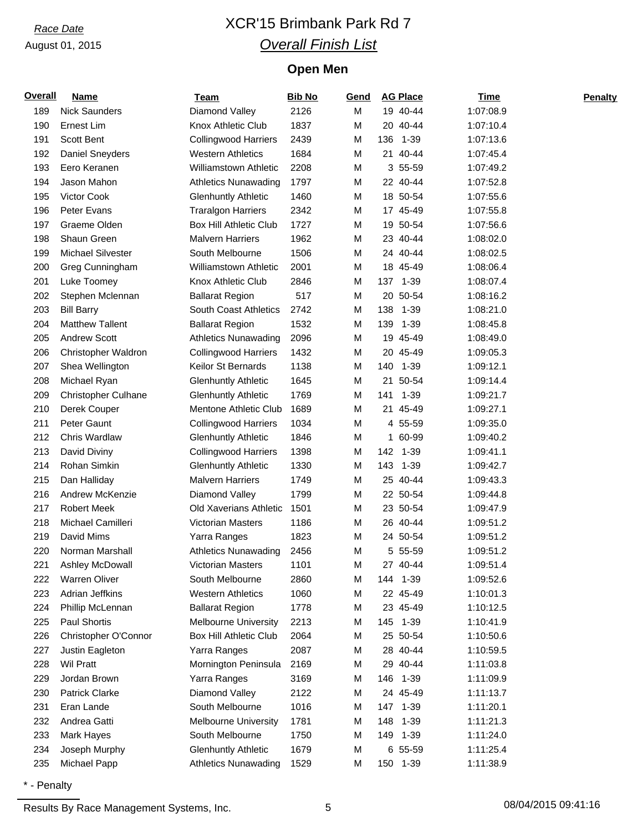# *Race Date* XCR'15 Brimbank Park Rd 7 *Overall Finish List*

## **Open Men**

| <b>Overall</b> | <b>Name</b>                | <b>Team</b>                   | <b>Bib No</b> | Gend |     | <b>AG Place</b> | <b>Time</b> | <b>Penalty</b> |
|----------------|----------------------------|-------------------------------|---------------|------|-----|-----------------|-------------|----------------|
| 189            | <b>Nick Saunders</b>       | Diamond Valley                | 2126          | M    |     | 19 40-44        | 1:07:08.9   |                |
| 190            | Ernest Lim                 | Knox Athletic Club            | 1837          | M    |     | 20 40-44        | 1:07:10.4   |                |
| 191            | Scott Bent                 | <b>Collingwood Harriers</b>   | 2439          | М    | 136 | $1 - 39$        | 1:07:13.6   |                |
| 192            | <b>Daniel Sneyders</b>     | <b>Western Athletics</b>      | 1684          | M    | 21  | 40-44           | 1:07:45.4   |                |
| 193            | Eero Keranen               | <b>Williamstown Athletic</b>  | 2208          | M    |     | 3 55-59         | 1:07:49.2   |                |
| 194            | Jason Mahon                | <b>Athletics Nunawading</b>   | 1797          | М    |     | 22 40-44        | 1:07:52.8   |                |
| 195            | Victor Cook                | <b>Glenhuntly Athletic</b>    | 1460          | М    |     | 18 50-54        | 1:07:55.6   |                |
| 196            | Peter Evans                | <b>Traralgon Harriers</b>     | 2342          | M    |     | 17 45-49        | 1:07:55.8   |                |
| 197            | Graeme Olden               | <b>Box Hill Athletic Club</b> | 1727          | М    |     | 19 50-54        | 1:07:56.6   |                |
| 198            | Shaun Green                | <b>Malvern Harriers</b>       | 1962          | М    |     | 23 40-44        | 1:08:02.0   |                |
| 199            | Michael Silvester          | South Melbourne               | 1506          | М    |     | 24 40-44        | 1:08:02.5   |                |
| 200            | Greg Cunningham            | <b>Williamstown Athletic</b>  | 2001          | M    |     | 18 45-49        | 1:08:06.4   |                |
| 201            | Luke Toomey                | Knox Athletic Club            | 2846          | M    |     | 137 1-39        | 1:08:07.4   |                |
| 202            | Stephen Mclennan           | <b>Ballarat Region</b>        | 517           | M    |     | 20 50-54        | 1:08:16.2   |                |
| 203            | <b>Bill Barry</b>          | <b>South Coast Athletics</b>  | 2742          | M    | 138 | 1-39            | 1:08:21.0   |                |
| 204            | <b>Matthew Tallent</b>     | <b>Ballarat Region</b>        | 1532          | M    | 139 | 1-39            | 1:08:45.8   |                |
| 205            | <b>Andrew Scott</b>        | <b>Athletics Nunawading</b>   | 2096          | M    |     | 19 45-49        | 1:08:49.0   |                |
| 206            | Christopher Waldron        | <b>Collingwood Harriers</b>   | 1432          | M    |     | 20 45-49        | 1:09:05.3   |                |
| 207            | Shea Wellington            | Keilor St Bernards            | 1138          | М    | 140 | 1-39            | 1:09:12.1   |                |
| 208            | Michael Ryan               | <b>Glenhuntly Athletic</b>    | 1645          | M    | 21  | 50-54           | 1:09:14.4   |                |
| 209            | <b>Christopher Culhane</b> | <b>Glenhuntly Athletic</b>    | 1769          | М    | 141 | 1-39            | 1:09:21.7   |                |
| 210            | Derek Couper               | Mentone Athletic Club         | 1689          | M    | 21  | 45-49           | 1:09:27.1   |                |
| 211            | Peter Gaunt                | <b>Collingwood Harriers</b>   | 1034          | M    |     | 4 55-59         | 1:09:35.0   |                |
| 212            | Chris Wardlaw              | <b>Glenhuntly Athletic</b>    | 1846          | M    | 1   | 60-99           | 1:09:40.2   |                |
| 213            | David Diviny               | <b>Collingwood Harriers</b>   | 1398          | M    |     | 142 1-39        | 1:09:41.1   |                |
| 214            | Rohan Simkin               | <b>Glenhuntly Athletic</b>    | 1330          | M    | 143 | 1-39            | 1:09:42.7   |                |
| 215            | Dan Halliday               | <b>Malvern Harriers</b>       | 1749          | M    |     | 25 40-44        | 1:09:43.3   |                |
| 216            | Andrew McKenzie            | Diamond Valley                | 1799          | M    |     | 22 50-54        | 1:09:44.8   |                |
| 217            | <b>Robert Meek</b>         | Old Xaverians Athletic        | 1501          | М    |     | 23 50-54        | 1:09:47.9   |                |
| 218            | Michael Camilleri          | Victorian Masters             | 1186          | M    |     | 26 40-44        | 1:09:51.2   |                |
| 219            | David Mims                 | Yarra Ranges                  | 1823          | M    |     | 24 50-54        | 1:09:51.2   |                |
| 220            | Norman Marshall            | <b>Athletics Nunawading</b>   | 2456          | М    |     | 5 55-59         | 1:09:51.2   |                |
| 221            | Ashley McDowall            | Victorian Masters             | 1101          | M    |     | 27 40-44        | 1:09:51.4   |                |
| 222            | Warren Oliver              | South Melbourne               | 2860          | M    |     | 144 1-39        | 1:09:52.6   |                |
| 223            | Adrian Jeffkins            | <b>Western Athletics</b>      | 1060          | М    |     | 22 45-49        | 1:10:01.3   |                |
| 224            | Phillip McLennan           | <b>Ballarat Region</b>        | 1778          | M    |     | 23 45-49        | 1:10:12.5   |                |
| 225            | Paul Shortis               | <b>Melbourne University</b>   | 2213          | М    |     | 145 1-39        | 1:10:41.9   |                |
| 226            | Christopher O'Connor       | <b>Box Hill Athletic Club</b> | 2064          | M    |     | 25 50-54        | 1:10:50.6   |                |
| 227            | Justin Eagleton            | Yarra Ranges                  | 2087          | М    |     | 28 40-44        | 1:10:59.5   |                |
| 228            | <b>Wil Pratt</b>           | Mornington Peninsula          | 2169          | M    |     | 29 40-44        | 1:11:03.8   |                |
| 229            | Jordan Brown               | Yarra Ranges                  | 3169          | M    |     | 146 1-39        | 1:11:09.9   |                |
| 230            | <b>Patrick Clarke</b>      | Diamond Valley                | 2122          | M    |     | 24 45-49        | 1:11:13.7   |                |
| 231            | Eran Lande                 | South Melbourne               | 1016          | M    |     | 147 1-39        | 1:11:20.1   |                |
| 232            | Andrea Gatti               | <b>Melbourne University</b>   | 1781          | M    |     | 148 1-39        | 1:11:21.3   |                |
| 233            | Mark Hayes                 | South Melbourne               | 1750          | M    |     | 149 1-39        | 1:11:24.0   |                |
| 234            | Joseph Murphy              | <b>Glenhuntly Athletic</b>    | 1679          | M    |     | 6 55-59         | 1:11:25.4   |                |
| 235            | Michael Papp               | <b>Athletics Nunawading</b>   | 1529          | М    |     | 150 1-39        | 1:11:38.9   |                |

\* - Penalty

Results By Race Management Systems, Inc. 6 08/04/2015 09:41:16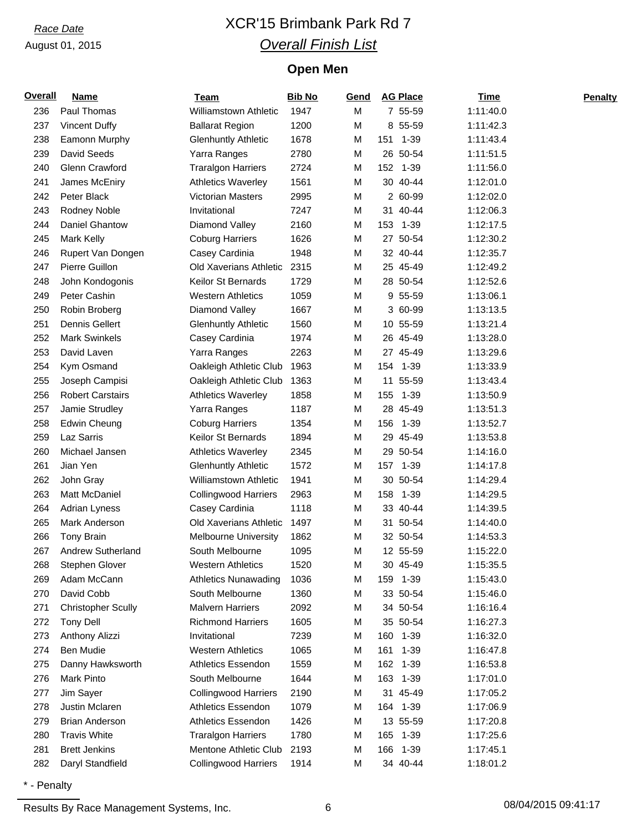# *Race Date* XCR'15 Brimbank Park Rd 7 *Overall Finish List*

## **Open Men**

| <b>Overall</b> | <b>Name</b>                                  | <b>Team</b>                                        | <b>Bib No</b> | Gend | <b>AG Place</b>      | Time                   | <b>Penalty</b> |
|----------------|----------------------------------------------|----------------------------------------------------|---------------|------|----------------------|------------------------|----------------|
| 236            | Paul Thomas                                  | <b>Williamstown Athletic</b>                       | 1947          | M    | 7 55-59              | 1:11:40.0              |                |
| 237            | <b>Vincent Duffy</b>                         | <b>Ballarat Region</b>                             | 1200          | M    | 8 55-59              | 1:11:42.3              |                |
| 238            | Eamonn Murphy                                | <b>Glenhuntly Athletic</b>                         | 1678          | M    | 1-39<br>151          | 1:11:43.4              |                |
| 239            | David Seeds                                  | Yarra Ranges                                       | 2780          | M    | 26 50-54             | 1:11:51.5              |                |
| 240            | Glenn Crawford                               | <b>Traralgon Harriers</b>                          | 2724          | M    | 152 1-39             | 1:11:56.0              |                |
| 241            | James McEniry                                | <b>Athletics Waverley</b>                          | 1561          | M    | 30 40-44             | 1:12:01.0              |                |
| 242            | Peter Black                                  | Victorian Masters                                  | 2995          | M    | 2 60-99              | 1:12:02.0              |                |
| 243            | Rodney Noble                                 | Invitational                                       | 7247          | M    | 31 40-44             | 1:12:06.3              |                |
| 244            | Daniel Ghantow                               | Diamond Valley                                     | 2160          | M    | 153 1-39             | 1:12:17.5              |                |
| 245            | <b>Mark Kelly</b>                            | <b>Coburg Harriers</b>                             | 1626          | M    | 27 50-54             | 1:12:30.2              |                |
| 246            | Rupert Van Dongen                            | Casey Cardinia                                     | 1948          | M    | 32 40-44             | 1:12:35.7              |                |
| 247            | Pierre Guillon                               | Old Xaverians Athletic                             | 2315          | M    | 25 45-49             | 1:12:49.2              |                |
| 248            | John Kondogonis                              | Keilor St Bernards                                 | 1729          | M    | 28 50-54             | 1:12:52.6              |                |
| 249            | Peter Cashin                                 | <b>Western Athletics</b>                           | 1059          | M    | 9 55-59              | 1:13:06.1              |                |
| 250            | Robin Broberg                                | Diamond Valley                                     | 1667          | M    | 3 60-99              | 1:13:13.5              |                |
| 251            | Dennis Gellert                               | <b>Glenhuntly Athletic</b>                         | 1560          | M    | 10 55-59             | 1:13:21.4              |                |
| 252            | Mark Swinkels                                | Casey Cardinia                                     | 1974          | M    | 26 45-49             | 1:13:28.0              |                |
| 253            | David Laven                                  | Yarra Ranges                                       | 2263          | M    | 27 45-49             | 1:13:29.6              |                |
| 254            | Kym Osmand                                   | Oakleigh Athletic Club                             | 1963          | M    | 1-39<br>154          | 1:13:33.9              |                |
| 255            | Joseph Campisi                               | Oakleigh Athletic Club                             | 1363          | M    | 11<br>55-59          | 1:13:43.4              |                |
| 256            | <b>Robert Carstairs</b>                      | <b>Athletics Waverley</b>                          | 1858          | M    | 155 1-39             | 1:13:50.9              |                |
| 257            | Jamie Strudley                               | Yarra Ranges                                       | 1187          | M    | 28 45-49             | 1:13:51.3              |                |
| 258            | <b>Edwin Cheung</b>                          | <b>Coburg Harriers</b>                             | 1354          | M    | 1-39<br>156          | 1:13:52.7              |                |
| 259            | Laz Sarris                                   | Keilor St Bernards                                 | 1894          | M    | 29 45-49             | 1:13:53.8              |                |
| 260            | Michael Jansen                               | <b>Athletics Waverley</b>                          | 2345          | M    | 29 50-54             | 1:14:16.0              |                |
| 261            | Jian Yen                                     | <b>Glenhuntly Athletic</b>                         | 1572          | M    | 157 1-39             | 1:14:17.8              |                |
| 262            | John Gray                                    | <b>Williamstown Athletic</b>                       | 1941          | M    | 30 50-54             | 1:14:29.4              |                |
| 263            | Matt McDaniel                                | <b>Collingwood Harriers</b>                        | 2963          | M    | $1 - 39$<br>158      | 1:14:29.5              |                |
| 264            | Adrian Lyness                                | Casey Cardinia                                     | 1118          | M    | 33 40-44             | 1:14:39.5              |                |
| 265            | Mark Anderson                                | Old Xaverians Athletic                             | 1497          | M    | 31 50-54             | 1:14:40.0              |                |
| 266            | Tony Brain                                   | <b>Melbourne University</b>                        | 1862          | M    | 32 50-54             | 1:14:53.3              |                |
| 267            | Andrew Sutherland                            | South Melbourne                                    | 1095          | M    | 12 55-59             | 1:15:22.0              |                |
| 268            | Stephen Glover                               | <b>Western Athletics</b>                           | 1520          | M    | 30 45-49             | 1:15:35.5              |                |
| 269            | Adam McCann                                  | <b>Athletics Nunawading</b>                        | 1036          | M    | 159 1-39             | 1:15:43.0              |                |
| 270            | David Cobb                                   | South Melbourne                                    | 1360          | M    | 33 50-54             | 1:15:46.0              |                |
| 271            | <b>Christopher Scully</b>                    | <b>Malvern Harriers</b>                            | 2092          | м    | 34 50-54             | 1:16:16.4              |                |
| 272            | <b>Tony Dell</b>                             | <b>Richmond Harriers</b>                           | 1605          | M    | 35 50-54             | 1:16:27.3              |                |
| 273            | Anthony Alizzi                               | Invitational                                       | 7239          | M    | 160 1-39             | 1:16:32.0              |                |
| 274            | <b>Ben Mudie</b>                             | <b>Western Athletics</b>                           | 1065          | M    | 161<br>$1 - 39$      | 1:16:47.8              |                |
| 275            | Danny Hawksworth                             | Athletics Essendon                                 | 1559          | M    | 162 1-39             | 1:16:53.8              |                |
| 276            | Mark Pinto                                   | South Melbourne                                    | 1644          | M    | 163 1-39             | 1:17:01.0              |                |
| 277            | Jim Sayer                                    | <b>Collingwood Harriers</b>                        | 2190          | M    | 31 45-49             | 1:17:05.2              |                |
| 278            | Justin Mclaren                               | Athletics Essendon                                 | 1079          | M    | 164 1-39             | 1:17:06.9              |                |
| 279            | <b>Brian Anderson</b><br><b>Travis White</b> | Athletics Essendon                                 | 1426<br>1780  | M    | 13 55-59             | 1:17:20.8<br>1:17:25.6 |                |
| 280            | <b>Brett Jenkins</b>                         | <b>Traralgon Harriers</b><br>Mentone Athletic Club | 2193          | M    | 165 1-39             |                        |                |
| 281<br>282     |                                              |                                                    |               | M    | 166 1-39<br>34 40-44 | 1:17:45.1              |                |
|                | Daryl Standfield                             | <b>Collingwood Harriers</b>                        | 1914          | М    |                      | 1:18:01.2              |                |

\* - Penalty

Results By Race Management Systems, Inc. 6 08/04/2015 09:41:17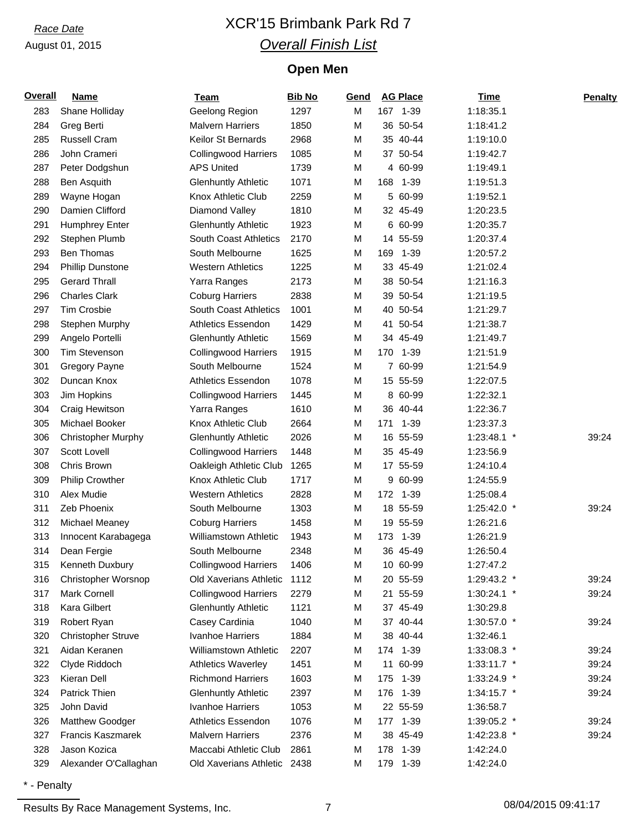# *Race Date* XCR'15 Brimbank Park Rd 7 *Overall Finish List*

## **Open Men**

| <b>Overall</b> | <b>Name</b>               | <b>Team</b>                  | <b>Bib No</b> | Gend |     | <b>AG Place</b> | <b>Time</b>   | <b>Penalty</b> |
|----------------|---------------------------|------------------------------|---------------|------|-----|-----------------|---------------|----------------|
| 283            | Shane Holliday            | Geelong Region               | 1297          | M    |     | 167 1-39        | 1:18:35.1     |                |
| 284            | Greg Berti                | <b>Malvern Harriers</b>      | 1850          | M    |     | 36 50-54        | 1:18:41.2     |                |
| 285            | Russell Cram              | Keilor St Bernards           | 2968          | M    |     | 35 40-44        | 1:19:10.0     |                |
| 286            | John Crameri              | <b>Collingwood Harriers</b>  | 1085          | M    |     | 37 50-54        | 1:19:42.7     |                |
| 287            | Peter Dodgshun            | <b>APS United</b>            | 1739          | M    |     | 4 60-99         | 1:19:49.1     |                |
| 288            | Ben Asquith               | <b>Glenhuntly Athletic</b>   | 1071          | M    | 168 | $1 - 39$        | 1:19:51.3     |                |
| 289            | Wayne Hogan               | Knox Athletic Club           | 2259          | M    |     | 5 60-99         | 1:19:52.1     |                |
| 290            | Damien Clifford           | Diamond Valley               | 1810          | M    |     | 32 45-49        | 1:20:23.5     |                |
| 291            | Humphrey Enter            | <b>Glenhuntly Athletic</b>   | 1923          | M    |     | 6 60-99         | 1:20:35.7     |                |
| 292            | Stephen Plumb             | South Coast Athletics        | 2170          | M    |     | 14 55-59        | 1:20:37.4     |                |
| 293            | Ben Thomas                | South Melbourne              | 1625          | M    | 169 | $1 - 39$        | 1:20:57.2     |                |
| 294            | <b>Phillip Dunstone</b>   | <b>Western Athletics</b>     | 1225          | M    |     | 33 45-49        | 1:21:02.4     |                |
| 295            | <b>Gerard Thrall</b>      | Yarra Ranges                 | 2173          | M    |     | 38 50-54        | 1:21:16.3     |                |
| 296            | <b>Charles Clark</b>      | <b>Coburg Harriers</b>       | 2838          | M    |     | 39 50-54        | 1:21:19.5     |                |
| 297            | Tim Crosbie               | <b>South Coast Athletics</b> | 1001          | M    |     | 40 50-54        | 1:21:29.7     |                |
| 298            | Stephen Murphy            | <b>Athletics Essendon</b>    | 1429          | M    |     | 41 50-54        | 1:21:38.7     |                |
| 299            | Angelo Portelli           | <b>Glenhuntly Athletic</b>   | 1569          | M    |     | 34 45-49        | 1:21:49.7     |                |
| 300            | <b>Tim Stevenson</b>      | <b>Collingwood Harriers</b>  | 1915          | M    | 170 | $1 - 39$        | 1:21:51.9     |                |
| 301            | <b>Gregory Payne</b>      | South Melbourne              | 1524          | M    |     | 7 60-99         | 1:21:54.9     |                |
| 302            | Duncan Knox               | <b>Athletics Essendon</b>    | 1078          | M    |     | 15 55-59        | 1:22:07.5     |                |
| 303            | Jim Hopkins               | <b>Collingwood Harriers</b>  | 1445          | M    |     | 8 60-99         | 1:22:32.1     |                |
| 304            | Craig Hewitson            | Yarra Ranges                 | 1610          | M    |     | 36 40-44        | 1:22:36.7     |                |
| 305            | Michael Booker            | Knox Athletic Club           | 2664          | M    | 171 | $1 - 39$        | 1:23:37.3     |                |
| 306            | <b>Christopher Murphy</b> | <b>Glenhuntly Athletic</b>   | 2026          | M    |     | 16 55-59        | 1:23:48.1 *   | 39:24          |
| 307            | Scott Lovell              | <b>Collingwood Harriers</b>  | 1448          | M    |     | 35 45-49        | 1:23:56.9     |                |
| 308            | Chris Brown               | Oakleigh Athletic Club       | 1265          | M    |     | 17 55-59        | 1:24:10.4     |                |
| 309            | <b>Philip Crowther</b>    | Knox Athletic Club           | 1717          | M    |     | 9 60-99         | 1:24:55.9     |                |
| 310            | Alex Mudie                | <b>Western Athletics</b>     | 2828          | M    |     | 172 1-39        | 1:25:08.4     |                |
| 311            | Zeb Phoenix               | South Melbourne              | 1303          | M    |     | 18 55-59        | 1:25:42.0 *   | 39:24          |
| 312            | Michael Meaney            | <b>Coburg Harriers</b>       | 1458          | M    | 19  | 55-59           | 1:26:21.6     |                |
| 313            | Innocent Karabagega       | <b>Williamstown Athletic</b> | 1943          | M    | 173 | $1 - 39$        | 1:26:21.9     |                |
| 314            | Dean Fergie               | South Melbourne              | 2348          | M    |     | 36 45-49        | 1:26:50.4     |                |
| 315            | Kenneth Duxbury           | <b>Collingwood Harriers</b>  | 1406          | M    |     | 10 60-99        | 1:27:47.2     |                |
| 316            | Christopher Worsnop       | Old Xaverians Athletic       | 1112          | M    |     | 20 55-59        | 1:29:43.2 *   | 39:24          |
| 317            | Mark Cornell              | <b>Collingwood Harriers</b>  | 2279          | M    |     | 21 55-59        | $1:30:24.1$ * | 39:24          |
| 318            | Kara Gilbert              | <b>Glenhuntly Athletic</b>   | 1121          | M    |     | 37 45-49        | 1:30:29.8     |                |
| 319            | Robert Ryan               | Casey Cardinia               | 1040          | M    |     | 37 40-44        | 1:30:57.0 *   | 39:24          |
| 320            | <b>Christopher Struve</b> | Ivanhoe Harriers             | 1884          | M    |     | 38 40-44        | 1:32:46.1     |                |
| 321            | Aidan Keranen             | <b>Williamstown Athletic</b> | 2207          | M    |     | 174 1-39        | 1:33:08.3 *   | 39:24          |
| 322            | Clyde Riddoch             | <b>Athletics Waverley</b>    | 1451          | M    |     | 11 60-99        | $1:33:11.7$ * | 39:24          |
| 323            | Kieran Dell               | <b>Richmond Harriers</b>     | 1603          | M    | 175 | 1-39            | 1:33:24.9 *   | 39:24          |
| 324            | Patrick Thien             | <b>Glenhuntly Athletic</b>   | 2397          | M    | 176 | 1-39            | $1:34:15.7$ * | 39:24          |
| 325            | John David                | Ivanhoe Harriers             | 1053          | M    |     | 22 55-59        | 1:36:58.7     |                |
| 326            | Matthew Goodger           | <b>Athletics Essendon</b>    | 1076          | M    |     | 177 1-39        | 1:39:05.2 *   | 39:24          |
| 327            | Francis Kaszmarek         | <b>Malvern Harriers</b>      | 2376          | M    |     | 38 45-49        | 1:42:23.8 *   | 39:24          |
| 328            | Jason Kozica              | Maccabi Athletic Club        | 2861          | M    |     | 178 1-39        | 1:42:24.0     |                |
| 329            | Alexander O'Callaghan     | Old Xaverians Athletic 2438  |               | M    |     | 179 1-39        | 1:42:24.0     |                |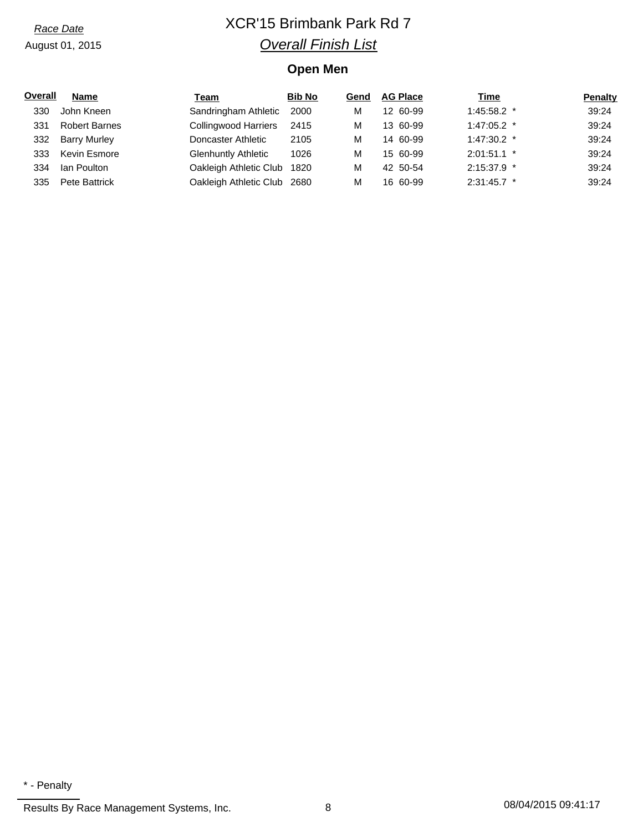# *Race Date* XCR'15 Brimbank Park Rd 7 *Overall Finish List*

## **Open Men**

| Overall | <b>Name</b>          | Team                        | <b>Bib No</b> | Gend | <b>AG Place</b> | <b>Time</b>   | <b>Penalty</b> |
|---------|----------------------|-----------------------------|---------------|------|-----------------|---------------|----------------|
| 330     | John Kneen           | Sandringham Athletic        | 2000          | М    | 12 60-99        | $1:45:58.2$ * | 39:24          |
| 331     | <b>Robert Barnes</b> | <b>Collingwood Harriers</b> | 2415          | м    | 13 60-99        | $1:47:05.2$ * | 39:24          |
| 332.    | <b>Barry Murley</b>  | Doncaster Athletic          | 2105          | м    | 14 60-99        | $1:47:30.2$ * | 39:24          |
| 333     | Kevin Esmore         | <b>Glenhuntly Athletic</b>  | 1026          | м    | 15 60-99        | $2:01:51.1$ * | 39:24          |
| 334     | Ian Poulton          | Oakleigh Athletic Club      | 1820          | м    | 42 50-54        | $2:15:37.9$ * | 39:24          |
| 335     | Pete Battrick        | Oakleigh Athletic Club 2680 |               | М    | 16 60-99        | $2:31:45.7$ * | 39:24          |

<sup>\* -</sup> Penalty

Results By Race Management Systems, Inc. 28 08/04/2015 09:41:17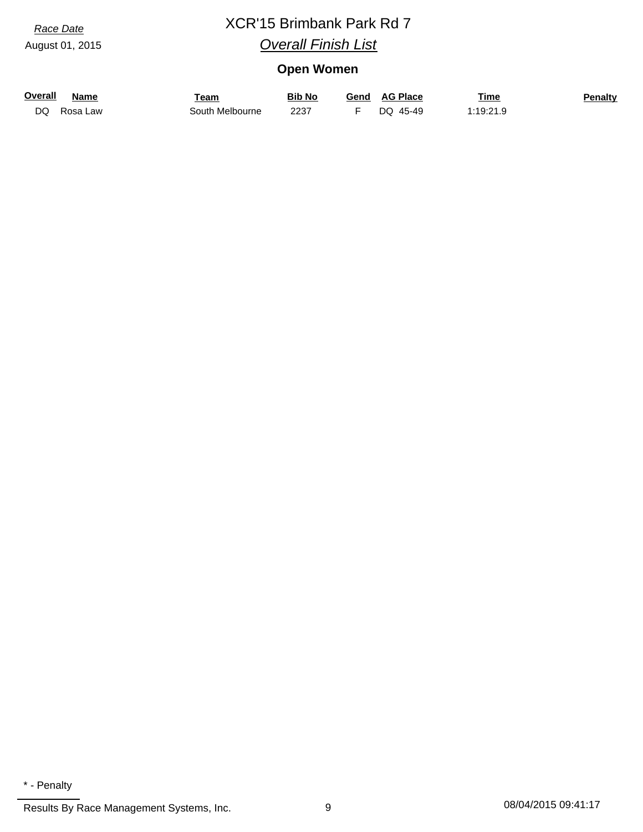# *Race Date* XCR'15 Brimbank Park Rd 7 *Overall Finish List*

## **Open Women**

| <b>Overall</b> | Name     | Геаm            | Bib No | <b>AG Place</b><br>Gend | <u>Time</u>    | <u>Penalty</u> |
|----------------|----------|-----------------|--------|-------------------------|----------------|----------------|
| DQ             | Rosa Law | South Melbourne | 2237   | 45-49<br>DO             | 1·10·21 0<br>. |                |

Results By Race Management Systems, Inc. 2012 08/04/2015 09:41:17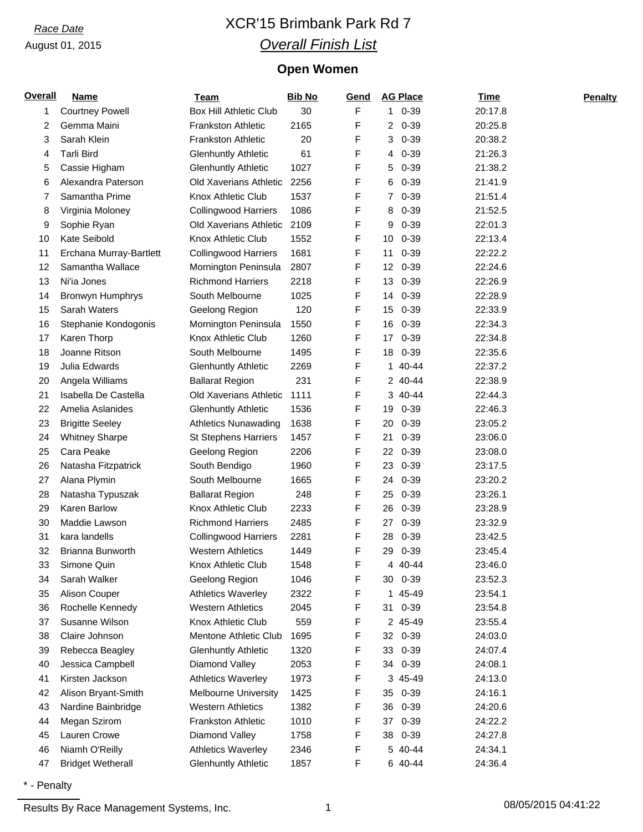# *Race Date* XCR'15 Brimbank Park Rd 7 *Overall Finish List*

## **Open Women**

| Overall | <b>Name</b>              | <b>Team</b>                   | <b>Bib No</b> | Gend | <b>AG Place</b> | <b>Time</b> | <b>Penalty</b> |
|---------|--------------------------|-------------------------------|---------------|------|-----------------|-------------|----------------|
| 1       | <b>Courtney Powell</b>   | <b>Box Hill Athletic Club</b> | 30            | F    | $10-39$         | 20:17.8     |                |
| 2       | Gemma Maini              | <b>Frankston Athletic</b>     | 2165          | F    | $20-39$         | 20:25.8     |                |
| 3       | Sarah Klein              | <b>Frankston Athletic</b>     | 20            | F    | $0 - 39$<br>3   | 20:38.2     |                |
| 4       | <b>Tarli Bird</b>        | <b>Glenhuntly Athletic</b>    | 61            | F    | $0 - 39$<br>4   | 21:26.3     |                |
| 5       | Cassie Higham            | <b>Glenhuntly Athletic</b>    | 1027          | F    | 5<br>$0 - 39$   | 21:38.2     |                |
| 6       | Alexandra Paterson       | Old Xaverians Athletic        | 2256          | F    | $0 - 39$<br>6   | 21:41.9     |                |
| 7       | Samantha Prime           | <b>Knox Athletic Club</b>     | 1537          | F    | $0 - 39$<br>7   | 21:51.4     |                |
| 8       | Virginia Moloney         | <b>Collingwood Harriers</b>   | 1086          | F    | $0 - 39$<br>8   | 21:52.5     |                |
| 9       | Sophie Ryan              | Old Xaverians Athletic        | 2109          | F    | 9<br>$0 - 39$   | 22:01.3     |                |
| 10      | Kate Seibold             | Knox Athletic Club            | 1552          | F    | $0 - 39$<br>10  | 22:13.4     |                |
| 11      | Erchana Murray-Bartlett  | <b>Collingwood Harriers</b>   | 1681          | F    | $0 - 39$<br>11  | 22:22.2     |                |
| 12      | Samantha Wallace         | Mornington Peninsula          | 2807          | F    | $0 - 39$<br>12  | 22:24.6     |                |
| 13      | Ni'ia Jones              | <b>Richmond Harriers</b>      | 2218          | F    | 13<br>$0 - 39$  | 22:26.9     |                |
| 14      | Bronwyn Humphrys         | South Melbourne               | 1025          | F    | $0 - 39$<br>14  | 22:28.9     |                |
| 15      | Sarah Waters             | Geelong Region                | 120           | F    | $0 - 39$<br>15  | 22:33.9     |                |
| 16      | Stephanie Kondogonis     | Mornington Peninsula          | 1550          | F    | 16<br>$0 - 39$  | 22:34.3     |                |
| 17      | Karen Thorp              | Knox Athletic Club            | 1260          | F    | 17<br>$0 - 39$  | 22:34.8     |                |
| 18      | Joanne Ritson            | South Melbourne               | 1495          | F    | 18 0-39         | 22:35.6     |                |
| 19      | Julia Edwards            | <b>Glenhuntly Athletic</b>    | 2269          | F    | 40-44<br>1      | 22:37.2     |                |
| 20      | Angela Williams          | <b>Ballarat Region</b>        | 231           | F    | 2 40-44         | 22:38.9     |                |
| 21      | Isabella De Castella     | Old Xaverians Athletic        | 1111          | F    | 3 40-44         | 22:44.3     |                |
| 22      | Amelia Aslanides         | <b>Glenhuntly Athletic</b>    | 1536          | F    | $0 - 39$<br>19  | 22:46.3     |                |
| 23      | <b>Brigitte Seeley</b>   | <b>Athletics Nunawading</b>   | 1638          | F    | $0 - 39$<br>20  | 23:05.2     |                |
| 24      | <b>Whitney Sharpe</b>    | <b>St Stephens Harriers</b>   | 1457          | F    | 21<br>$0 - 39$  | 23:06.0     |                |
| 25      | Cara Peake               | Geelong Region                | 2206          | F    | 22<br>$0 - 39$  | 23:08.0     |                |
| 26      | Natasha Fitzpatrick      | South Bendigo                 | 1960          | F    | 23<br>$0 - 39$  | 23:17.5     |                |
| 27      | Alana Plymin             | South Melbourne               | 1665          | F    | $0 - 39$<br>24  | 23:20.2     |                |
| 28      | Natasha Typuszak         | <b>Ballarat Region</b>        | 248           | F    | $0 - 39$<br>25  | 23:26.1     |                |
| 29      | <b>Karen Barlow</b>      | Knox Athletic Club            | 2233          | F    | 26<br>$0 - 39$  | 23:28.9     |                |
| 30      | Maddie Lawson            | <b>Richmond Harriers</b>      | 2485          | F    | $0 - 39$<br>27  | 23:32.9     |                |
| 31      | kara landells            | <b>Collingwood Harriers</b>   | 2281          | F    | $0 - 39$<br>28  | 23:42.5     |                |
| 32      | Brianna Bunworth         | <b>Western Athletics</b>      | 1449          | F    | 29<br>0-39      | 23:45.4     |                |
| 33      | Simone Quin              | Knox Athletic Club            | 1548          | F    | 4 40-44         | 23:46.0     |                |
| 34      | Sarah Walker             | Geelong Region                | 1046          | F    | 30 0-39         | 23:52.3     |                |
| 35      | Alison Couper            | <b>Athletics Waverley</b>     | 2322          | F    | 45-49<br>1      | 23:54.1     |                |
| 36      | Rochelle Kennedy         | <b>Western Athletics</b>      | 2045          | F    | $0 - 39$<br>31  | 23:54.8     |                |
| 37      | Susanne Wilson           | Knox Athletic Club            | 559           | F    | 2 45-49         | 23:55.4     |                |
| 38      | Claire Johnson           | Mentone Athletic Club         | 1695          | F    | 32 0-39         | 24:03.0     |                |
| 39      | Rebecca Beagley          | <b>Glenhuntly Athletic</b>    | 1320          | F    | $0 - 39$<br>33  | 24:07.4     |                |
| 40      | Jessica Campbell         | Diamond Valley                | 2053          | F    | $0 - 39$<br>34  | 24:08.1     |                |
| 41      | Kirsten Jackson          | <b>Athletics Waverley</b>     | 1973          | F    | 3 45-49         | 24:13.0     |                |
| 42      | Alison Bryant-Smith      | <b>Melbourne University</b>   | 1425          | F    | 35<br>$0 - 39$  | 24:16.1     |                |
| 43      | Nardine Bainbridge       | <b>Western Athletics</b>      | 1382          | F    | 36<br>$0 - 39$  | 24:20.6     |                |
| 44      | Megan Szirom             | Frankston Athletic            | 1010          | F    | $0 - 39$<br>37  | 24:22.2     |                |
| 45      | Lauren Crowe             | Diamond Valley                | 1758          | F    | $0 - 39$<br>38  | 24:27.8     |                |
| 46      | Niamh O'Reilly           | <b>Athletics Waverley</b>     | 2346          | F    | 5 40-44         | 24:34.1     |                |
| 47      | <b>Bridget Wetherall</b> | <b>Glenhuntly Athletic</b>    | 1857          | F    | 6 40-44         | 24:36.4     |                |
|         |                          |                               |               |      |                 |             |                |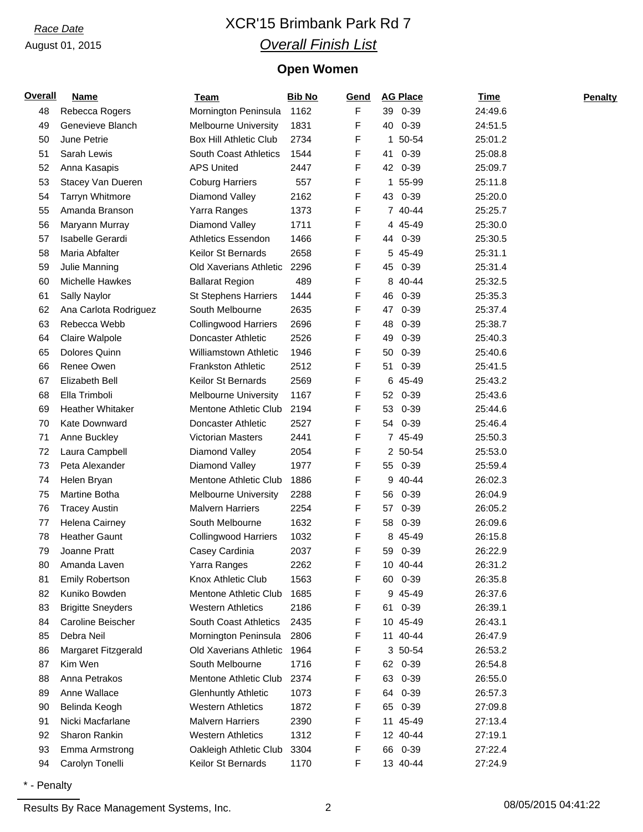# *Race Date* XCR'15 Brimbank Park Rd 7 *Overall Finish List*

## **Open Women**

| <b>Overall</b> | <b>Name</b>              | <b>Team</b>                   | <b>Bib No</b> | Gend | <b>AG Place</b>             | <u>Time</u> | <b>Penalty</b> |
|----------------|--------------------------|-------------------------------|---------------|------|-----------------------------|-------------|----------------|
| 48             | Rebecca Rogers           | Mornington Peninsula          | 1162          | F    | 39 0-39                     | 24:49.6     |                |
| 49             | Genevieve Blanch         | <b>Melbourne University</b>   | 1831          | F    | 40<br>$0 - 39$              | 24:51.5     |                |
| 50             | June Petrie              | <b>Box Hill Athletic Club</b> | 2734          | F    | 50-54<br>1                  | 25:01.2     |                |
| 51             | Sarah Lewis              | South Coast Athletics         | 1544          | F    | $0 - 39$<br>41              | 25:08.8     |                |
| 52             | Anna Kasapis             | <b>APS United</b>             | 2447          | F    | 42 0-39                     | 25:09.7     |                |
| 53             | Stacey Van Dueren        | <b>Coburg Harriers</b>        | 557           | F    | 55-99<br>1                  | 25:11.8     |                |
| 54             | <b>Tarryn Whitmore</b>   | Diamond Valley                | 2162          | F    | 43<br>0-39                  | 25:20.0     |                |
| 55             | Amanda Branson           | Yarra Ranges                  | 1373          | F    | 7 40-44                     | 25:25.7     |                |
| 56             | Maryann Murray           | Diamond Valley                | 1711          | F    | 4 45-49                     | 25:30.0     |                |
| 57             | Isabelle Gerardi         | <b>Athletics Essendon</b>     | 1466          | F    | 44 0-39                     | 25:30.5     |                |
| 58             | Maria Abfalter           | Keilor St Bernards            | 2658          | F    | 5 45-49                     | 25:31.1     |                |
| 59             | Julie Manning            | Old Xaverians Athletic        | 2296          | F    | $0 - 39$<br>45              | 25:31.4     |                |
| 60             | Michelle Hawkes          | <b>Ballarat Region</b>        | 489           | F    | 8<br>40-44                  | 25:32.5     |                |
| 61             | Sally Naylor             | <b>St Stephens Harriers</b>   | 1444          | F    | 46<br>$0 - 39$              | 25:35.3     |                |
| 62             | Ana Carlota Rodriguez    | South Melbourne               | 2635          | F    | 47<br>$0 - 39$              | 25:37.4     |                |
| 63             | Rebecca Webb             | <b>Collingwood Harriers</b>   | 2696          | F    | $0 - 39$<br>48              | 25:38.7     |                |
| 64             | Claire Walpole           | Doncaster Athletic            | 2526          | F    | $0 - 39$<br>49              | 25:40.3     |                |
| 65             | Dolores Quinn            | Williamstown Athletic         | 1946          | F    | $0 - 39$<br>50              | 25:40.6     |                |
| 66             | Renee Owen               | <b>Frankston Athletic</b>     | 2512          | F    | 51<br>$0 - 39$              | 25:41.5     |                |
| 67             | Elizabeth Bell           | Keilor St Bernards            | 2569          | F    | 45-49<br>6                  | 25:43.2     |                |
| 68             | Ella Trimboli            | <b>Melbourne University</b>   | 1167          | F    | 52 <sub>2</sub><br>$0 - 39$ | 25:43.6     |                |
| 69             | <b>Heather Whitaker</b>  | Mentone Athletic Club         | 2194          | F    | $0 - 39$<br>53              | 25:44.6     |                |
| 70             | <b>Kate Downward</b>     | Doncaster Athletic            | 2527          | F    | 54<br>$0 - 39$              | 25:46.4     |                |
| 71             | Anne Buckley             | Victorian Masters             | 2441          | F    | 7 45-49                     | 25:50.3     |                |
| 72             | Laura Campbell           | Diamond Valley                | 2054          | F    | 2 50-54                     | 25:53.0     |                |
| 73             | Peta Alexander           | Diamond Valley                | 1977          | F    | 0-39<br>55                  | 25:59.4     |                |
| 74             | Helen Bryan              | Mentone Athletic Club         | 1886          | F    | 9<br>40-44                  | 26:02.3     |                |
| 75             | Martine Botha            | <b>Melbourne University</b>   | 2288          | F    | $0 - 39$<br>56              | 26:04.9     |                |
| 76             | <b>Tracey Austin</b>     | <b>Malvern Harriers</b>       | 2254          | F    | $0 - 39$<br>57              | 26:05.2     |                |
| 77             | Helena Cairney           | South Melbourne               | 1632          | F    | $0 - 39$<br>58              | 26:09.6     |                |
| 78             | <b>Heather Gaunt</b>     | <b>Collingwood Harriers</b>   | 1032          | F    | 45-49<br>8                  | 26:15.8     |                |
| 79             | Joanne Pratt             | Casey Cardinia                | 2037          | F    | $0 - 39$<br>59              | 26:22.9     |                |
| 80             | Amanda Laven             | Yarra Ranges                  | 2262          | F    | 10 40-44                    | 26:31.2     |                |
| 81             | <b>Emily Robertson</b>   | Knox Athletic Club            | 1563          | F    | 60 0-39                     | 26:35.8     |                |
| 82             | Kuniko Bowden            | Mentone Athletic Club         | 1685          | F    | 9 45-49                     | 26:37.6     |                |
| 83             | <b>Brigitte Sneyders</b> | <b>Western Athletics</b>      | 2186          | F    | 61 0-39                     | 26:39.1     |                |
| 84             | Caroline Beischer        | South Coast Athletics         | 2435          | F    | 10 45-49                    | 26:43.1     |                |
| 85             | Debra Neil               | Mornington Peninsula          | 2806          | F    | 11 40-44                    | 26:47.9     |                |
| 86             | Margaret Fitzgerald      | <b>Old Xaverians Athletic</b> | 1964          | F    | 3 50-54                     | 26:53.2     |                |
| 87             | Kim Wen                  | South Melbourne               | 1716          | F    | 62 0-39                     | 26:54.8     |                |
| 88             | Anna Petrakos            | Mentone Athletic Club         | 2374          | F    | 63<br>$0 - 39$              | 26:55.0     |                |
| 89             | Anne Wallace             | <b>Glenhuntly Athletic</b>    | 1073          | F    | $0 - 39$<br>64              | 26:57.3     |                |
| 90             | Belinda Keogh            | <b>Western Athletics</b>      | 1872          | F    | $0 - 39$<br>65              | 27:09.8     |                |
| 91             | Nicki Macfarlane         | <b>Malvern Harriers</b>       | 2390          | F    | 11 45-49                    | 27:13.4     |                |
| 92             | Sharon Rankin            | <b>Western Athletics</b>      | 1312          | F    | 12 40-44                    | 27:19.1     |                |
| 93             | <b>Emma Armstrong</b>    | Oakleigh Athletic Club        | 3304          | F    | $0 - 39$<br>66              | 27:22.4     |                |
| 94             | Carolyn Tonelli          | Keilor St Bernards            | 1170          | F    | 13 40-44                    | 27:24.9     |                |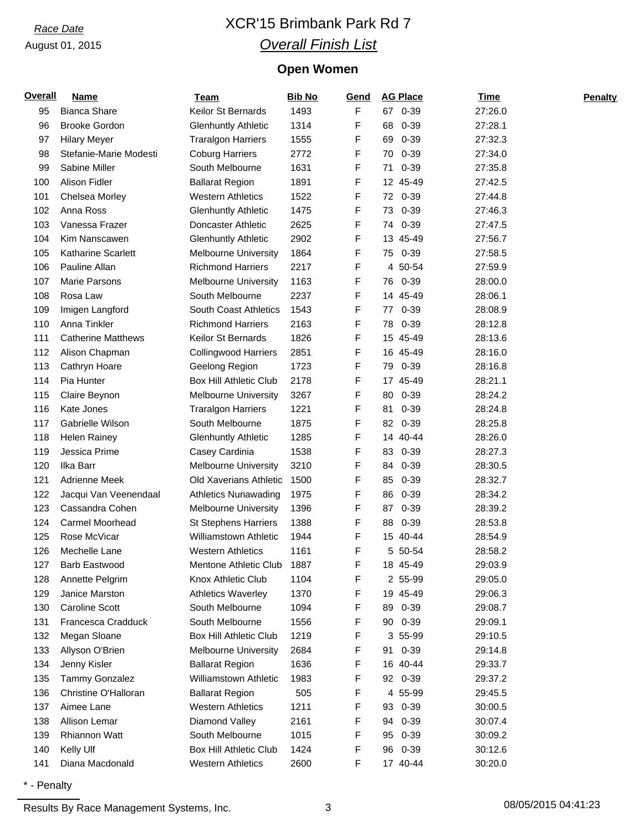# *Race Date* XCR'15 Brimbank Park Rd 7 *Overall Finish List*

## **Open Women**

| <b>Overall</b> | <b>Name</b>               | <b>Team</b>                   | <b>Bib No</b> | Gend | <b>AG Place</b> | <b>Time</b> | <b>Penalty</b> |
|----------------|---------------------------|-------------------------------|---------------|------|-----------------|-------------|----------------|
| 95             | <b>Bianca Share</b>       | Keilor St Bernards            | 1493          | F    | 67 0-39         | 27:26.0     |                |
| 96             | <b>Brooke Gordon</b>      | <b>Glenhuntly Athletic</b>    | 1314          | F    | 0-39<br>68      | 27:28.1     |                |
| 97             | <b>Hilary Meyer</b>       | <b>Traralgon Harriers</b>     | 1555          | F    | $0 - 39$<br>69  | 27:32.3     |                |
| 98             | Stefanie-Marie Modesti    | <b>Coburg Harriers</b>        | 2772          | F    | $0 - 39$<br>70  | 27:34.0     |                |
| 99             | Sabine Miller             | South Melbourne               | 1631          | F    | $0 - 39$<br>71  | 27:35.8     |                |
| 100            | Alison Fidler             | <b>Ballarat Region</b>        | 1891          | F    | 12 45-49        | 27:42.5     |                |
| 101            | Chelsea Morley            | <b>Western Athletics</b>      | 1522          | F    | 72 0-39         | 27:44.8     |                |
| 102            | Anna Ross                 | <b>Glenhuntly Athletic</b>    | 1475          | F    | $0 - 39$<br>73  | 27:46.3     |                |
| 103            | Vanessa Frazer            | Doncaster Athletic            | 2625          | F    | 74 0-39         | 27:47.5     |                |
| 104            | Kim Nanscawen             | <b>Glenhuntly Athletic</b>    | 2902          | F    | 13 45-49        | 27:56.7     |                |
| 105            | <b>Katharine Scarlett</b> | <b>Melbourne University</b>   | 1864          | F    | 75 0-39         | 27:58.5     |                |
| 106            | Pauline Allan             | <b>Richmond Harriers</b>      | 2217          | F    | 4 50-54         | 27:59.9     |                |
| 107            | Marie Parsons             | <b>Melbourne University</b>   | 1163          | F    | 76 0-39         | 28:00.0     |                |
| 108            | Rosa Law                  | South Melbourne               | 2237          | F    | 14 45-49        | 28:06.1     |                |
| 109            | Imigen Langford           | <b>South Coast Athletics</b>  | 1543          | F    | 77 0-39         | 28:08.9     |                |
| 110            | Anna Tinkler              | <b>Richmond Harriers</b>      | 2163          | F    | $0 - 39$<br>78  | 28:12.8     |                |
| 111            | <b>Catherine Matthews</b> | Keilor St Bernards            | 1826          | F    | 15 45-49        | 28:13.6     |                |
| 112            | Alison Chapman            | <b>Collingwood Harriers</b>   | 2851          | F    | 16 45-49        | 28:16.0     |                |
| 113            | Cathryn Hoare             | Geelong Region                | 1723          | F    | 79 0-39         | 28:16.8     |                |
| 114            | Pia Hunter                | <b>Box Hill Athletic Club</b> | 2178          | F    | 17 45-49        | 28:21.1     |                |
| 115            | Claire Beynon             | <b>Melbourne University</b>   | 3267          | F    | $0 - 39$<br>80  | 28:24.2     |                |
| 116            | Kate Jones                | <b>Traralgon Harriers</b>     | 1221          | F    | $0 - 39$<br>81  | 28:24.8     |                |
| 117            | Gabrielle Wilson          | South Melbourne               | 1875          | F    | 82 0-39         | 28:25.8     |                |
| 118            | <b>Helen Rainey</b>       | <b>Glenhuntly Athletic</b>    | 1285          | F    | 14 40-44        | 28:26.0     |                |
| 119            | Jessica Prime             | Casey Cardinia                | 1538          | F    | 83 0-39         | 28:27.3     |                |
| 120            | Ilka Barr                 | <b>Melbourne University</b>   | 3210          | F    | 84 0-39         | 28:30.5     |                |
| 121            | Adrienne Meek             | Old Xaverians Athletic        | 1500          | F    | $0 - 39$<br>85  | 28:32.7     |                |
| 122            | Jacqui Van Veenendaal     | <b>Athletics Nunawading</b>   | 1975          | F    | $0 - 39$<br>86  | 28:34.2     |                |
| 123            | Cassandra Cohen           | <b>Melbourne University</b>   | 1396          | F    | $0 - 39$<br>87  | 28:39.2     |                |
| 124            | Carmel Moorhead           | <b>St Stephens Harriers</b>   | 1388          | F    | $0 - 39$<br>88  | 28:53.8     |                |
| 125            | Rose McVicar              | <b>Williamstown Athletic</b>  | 1944          | F    | 15 40-44        | 28:54.9     |                |
| 126            | Mechelle Lane             | <b>Western Athletics</b>      | 1161          | F    | 5 50-54         | 28:58.2     |                |
| 127            | Barb Eastwood             | Mentone Athletic Club         | 1887          | F    | 18 45-49        | 29:03.9     |                |
| 128            | Annette Pelgrim           | Knox Athletic Club            | 1104          | F    | 2 55-99         | 29:05.0     |                |
| 129            | Janice Marston            | <b>Athletics Waverley</b>     | 1370          | F    | 19 45-49        | 29:06.3     |                |
| 130            | <b>Caroline Scott</b>     | South Melbourne               | 1094          | F    | 0-39<br>89      | 29:08.7     |                |
| 131            | Francesca Cradduck        | South Melbourne               | 1556          | F    | 90 0-39         | 29:09.1     |                |
| 132            | Megan Sloane              | <b>Box Hill Athletic Club</b> | 1219          | F    | 3 55-99         | 29:10.5     |                |
| 133            | Allyson O'Brien           | <b>Melbourne University</b>   | 2684          | F    | 91 0-39         | 29:14.8     |                |
| 134            | Jenny Kisler              | <b>Ballarat Region</b>        | 1636          | F    | 16 40-44        | 29:33.7     |                |
| 135            | Tammy Gonzalez            | Williamstown Athletic         | 1983          | F    | 92 0-39         | 29:37.2     |                |
| 136            | Christine O'Halloran      | <b>Ballarat Region</b>        | 505           | F    | 4 55-99         | 29:45.5     |                |
| 137            | Aimee Lane                | <b>Western Athletics</b>      | 1211          | F    | 93 0-39         | 30:00.5     |                |
| 138            | Allison Lemar             | Diamond Valley                | 2161          | F    | 0-39<br>94      | 30:07.4     |                |
| 139            | <b>Rhiannon Watt</b>      | South Melbourne               | 1015          | F    | 95 0-39         | 30:09.2     |                |
| 140            | Kelly Ulf                 | <b>Box Hill Athletic Club</b> | 1424          | F    | 96 0-39         | 30:12.6     |                |
| 141            | Diana Macdonald           | <b>Western Athletics</b>      | 2600          | F    | 17 40-44        | 30:20.0     |                |
|                |                           |                               |               |      |                 |             |                |

\* - Penalty

Results By Race Management Systems, Inc. 23 3 2015 18/05/2015 04:41:23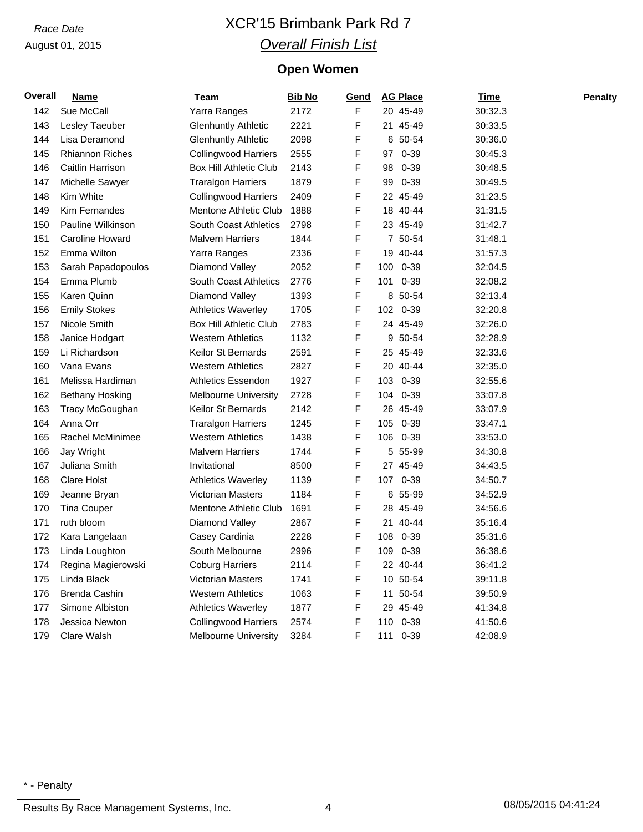# *Race Date* XCR'15 Brimbank Park Rd 7 *Overall Finish List*

## **Open Women**

| <u>Overall</u> | <b>Name</b>            | <u>Team</u>                   | <b>Bib No</b> | <u>Gend</u> |     | <b>AG Place</b> | <u>Time</u> | Penalty |
|----------------|------------------------|-------------------------------|---------------|-------------|-----|-----------------|-------------|---------|
| 142            | Sue McCall             | Yarra Ranges                  | 2172          | F           |     | 20 45-49        | 30:32.3     |         |
| 143            | Lesley Taeuber         | <b>Glenhuntly Athletic</b>    | 2221          | F           |     | 21 45-49        | 30:33.5     |         |
| 144            | Lisa Deramond          | <b>Glenhuntly Athletic</b>    | 2098          | F           |     | 6 50-54         | 30:36.0     |         |
| 145            | <b>Rhiannon Riches</b> | Collingwood Harriers          | 2555          | F           |     | 97 0-39         | 30:45.3     |         |
| 146            | Caitlin Harrison       | <b>Box Hill Athletic Club</b> | 2143          | F           | 98  | $0 - 39$        | 30:48.5     |         |
| 147            | Michelle Sawyer        | <b>Traralgon Harriers</b>     | 1879          | F           | 99  | $0 - 39$        | 30:49.5     |         |
| 148            | Kim White              | <b>Collingwood Harriers</b>   | 2409          | F           |     | 22 45-49        | 31:23.5     |         |
| 149            | <b>Kim Fernandes</b>   | Mentone Athletic Club         | 1888          | F           |     | 18 40-44        | 31:31.5     |         |
| 150            | Pauline Wilkinson      | South Coast Athletics         | 2798          | F           |     | 23 45-49        | 31:42.7     |         |
| 151            | Caroline Howard        | <b>Malvern Harriers</b>       | 1844          | F           |     | 7 50-54         | 31:48.1     |         |
| 152            | Emma Wilton            | Yarra Ranges                  | 2336          | F           |     | 19 40-44        | 31:57.3     |         |
| 153            | Sarah Papadopoulos     | Diamond Valley                | 2052          | F           |     | 100 0-39        | 32:04.5     |         |
| 154            | Emma Plumb             | <b>South Coast Athletics</b>  | 2776          | F           |     | 101 0-39        | 32:08.2     |         |
| 155            | Karen Quinn            | Diamond Valley                | 1393          | F           |     | 8 50-54         | 32:13.4     |         |
| 156            | <b>Emily Stokes</b>    | <b>Athletics Waverley</b>     | 1705          | F           |     | 102 0-39        | 32:20.8     |         |
| 157            | Nicole Smith           | <b>Box Hill Athletic Club</b> | 2783          | F           |     | 24 45-49        | 32:26.0     |         |
| 158            | Janice Hodgart         | <b>Western Athletics</b>      | 1132          | F           |     | 9 50-54         | 32:28.9     |         |
| 159            | Li Richardson          | <b>Keilor St Bernards</b>     | 2591          | F           |     | 25 45-49        | 32:33.6     |         |
| 160            | Vana Evans             | <b>Western Athletics</b>      | 2827          | F           |     | 20 40-44        | 32:35.0     |         |
| 161            | Melissa Hardiman       | Athletics Essendon            | 1927          | F           |     | 103 0-39        | 32:55.6     |         |
| 162            | <b>Bethany Hosking</b> | <b>Melbourne University</b>   | 2728          | F           |     | 104 0-39        | 33:07.8     |         |
| 163            | Tracy McGoughan        | Keilor St Bernards            | 2142          | F           |     | 26 45-49        | 33:07.9     |         |
| 164            | Anna Orr               | Traralgon Harriers            | 1245          | F           |     | 105 0-39        | 33:47.1     |         |
| 165            | Rachel McMinimee       | <b>Western Athletics</b>      | 1438          | F           |     | 106 0-39        | 33:53.0     |         |
| 166            | Jay Wright             | <b>Malvern Harriers</b>       | 1744          | F           |     | 5 55-99         | 34:30.8     |         |
| 167            | Juliana Smith          | Invitational                  | 8500          | F           |     | 27 45-49        | 34:43.5     |         |
| 168            | <b>Clare Holst</b>     | <b>Athletics Waverley</b>     | 1139          | F           |     | 107 0-39        | 34:50.7     |         |
| 169            | Jeanne Bryan           | <b>Victorian Masters</b>      | 1184          | F           |     | 6 55-99         | 34:52.9     |         |
| 170            | <b>Tina Couper</b>     | Mentone Athletic Club         | 1691          | F           |     | 28 45-49        | 34:56.6     |         |
| 171            | ruth bloom             | Diamond Valley                | 2867          | F           |     | 21 40-44        | 35:16.4     |         |
| 172            | Kara Langelaan         | Casey Cardinia                | 2228          | F           |     | 108 0-39        | 35:31.6     |         |
| 173            | Linda Loughton         | South Melbourne               | 2996          | F           |     | 109 0-39        | 36:38.6     |         |
| 174            | Regina Magierowski     | <b>Coburg Harriers</b>        | 2114          | F           |     | 22 40-44        | 36:41.2     |         |
| 175            | Linda Black            | <b>Victorian Masters</b>      | 1741          | F           |     | 10 50-54        | 39:11.8     |         |
| 176            | Brenda Cashin          | <b>Western Athletics</b>      | 1063          | F           |     | 11 50-54        | 39:50.9     |         |
| 177            | Simone Albiston        | <b>Athletics Waverley</b>     | 1877          | F           |     | 29 45-49        | 41:34.8     |         |
| 178            | Jessica Newton         | <b>Collingwood Harriers</b>   | 2574          | F           | 110 | $0 - 39$        | 41:50.6     |         |
| 179            | Clare Walsh            | <b>Melbourne University</b>   | 3284          | F           | 111 | $0 - 39$        | 42:08.9     |         |

Results By Race Management Systems, Inc. 4 08/05/2015 04:41:24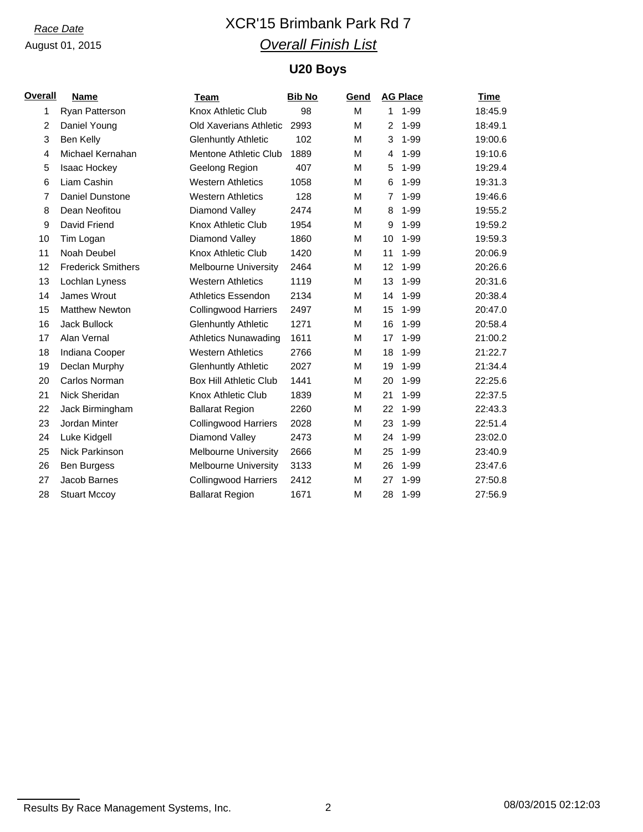# *Race Date* XCR'15 Brimbank Park Rd 7 *Overall Finish List*

## **U20 Boys**

| Overall        | <b>Name</b>               | Team                          | <b>Bib No</b> | Gend |              | <b>AG Place</b> | <b>Time</b> |
|----------------|---------------------------|-------------------------------|---------------|------|--------------|-----------------|-------------|
| 1              | Ryan Patterson            | Knox Athletic Club            | 98            | М    | $\mathbf{1}$ | $1 - 99$        | 18:45.9     |
| 2              | Daniel Young              | Old Xaverians Athletic        | 2993          | M    | 2            | $1 - 99$        | 18:49.1     |
| 3              | Ben Kelly                 | <b>Glenhuntly Athletic</b>    | 102           | м    | 3            | $1 - 99$        | 19:00.6     |
| $\overline{4}$ | Michael Kernahan          | Mentone Athletic Club         | 1889          | М    | 4            | $1 - 99$        | 19:10.6     |
| 5              | Isaac Hockey              | Geelong Region                | 407           | м    | 5            | $1 - 99$        | 19:29.4     |
| 6              | Liam Cashin               | <b>Western Athletics</b>      | 1058          | м    | 6            | $1 - 99$        | 19:31.3     |
| 7              | <b>Daniel Dunstone</b>    | <b>Western Athletics</b>      | 128           | м    | 7            | $1 - 99$        | 19:46.6     |
| 8              | Dean Neofitou             | Diamond Valley                | 2474          | М    | 8            | $1 - 99$        | 19:55.2     |
| 9              | David Friend              | Knox Athletic Club            | 1954          | М    | 9            | $1 - 99$        | 19:59.2     |
| 10             | Tim Logan                 | Diamond Valley                | 1860          | м    | 10           | $1 - 99$        | 19:59.3     |
| 11             | Noah Deubel               | Knox Athletic Club            | 1420          | М    | 11           | $1 - 99$        | 20:06.9     |
| 12             | <b>Frederick Smithers</b> | <b>Melbourne University</b>   | 2464          | M    | 12           | $1 - 99$        | 20:26.6     |
| 13             | Lochlan Lyness            | <b>Western Athletics</b>      | 1119          | M    | 13           | $1 - 99$        | 20:31.6     |
| 14             | James Wrout               | <b>Athletics Essendon</b>     | 2134          | м    | 14           | $1 - 99$        | 20:38.4     |
| 15             | <b>Matthew Newton</b>     | <b>Collingwood Harriers</b>   | 2497          | М    | 15           | $1 - 99$        | 20:47.0     |
| 16             | Jack Bullock              | <b>Glenhuntly Athletic</b>    | 1271          | М    | 16           | $1 - 99$        | 20:58.4     |
| 17             | Alan Vernal               | <b>Athletics Nunawading</b>   | 1611          | М    | 17           | $1 - 99$        | 21:00.2     |
| 18             | Indiana Cooper            | <b>Western Athletics</b>      | 2766          | M    | 18           | $1 - 99$        | 21:22.7     |
| 19             | Declan Murphy             | <b>Glenhuntly Athletic</b>    | 2027          | M    | 19           | $1 - 99$        | 21:34.4     |
| 20             | Carlos Norman             | <b>Box Hill Athletic Club</b> | 1441          | м    | 20           | $1 - 99$        | 22:25.6     |
| 21             | Nick Sheridan             | Knox Athletic Club            | 1839          | м    | 21           | $1 - 99$        | 22:37.5     |
| 22             | Jack Birmingham           | <b>Ballarat Region</b>        | 2260          | М    | 22           | $1 - 99$        | 22:43.3     |
| 23             | Jordan Minter             | <b>Collingwood Harriers</b>   | 2028          | м    | 23           | $1 - 99$        | 22:51.4     |
| 24             | Luke Kidgell              | Diamond Valley                | 2473          | М    | 24           | $1 - 99$        | 23:02.0     |
| 25             | Nick Parkinson            | <b>Melbourne University</b>   | 2666          | м    | 25           | $1 - 99$        | 23:40.9     |
| 26             | <b>Ben Burgess</b>        | <b>Melbourne University</b>   | 3133          | М    | 26           | $1 - 99$        | 23:47.6     |
| 27             | Jacob Barnes              | <b>Collingwood Harriers</b>   | 2412          | м    | 27           | $1 - 99$        | 27:50.8     |
| 28             | <b>Stuart Mccoy</b>       | <b>Ballarat Region</b>        | 1671          | M    | 28           | $1 - 99$        | 27:56.9     |

Results By Race Management Systems, Inc. 2 2 2 2 08/03/2015 02:12:03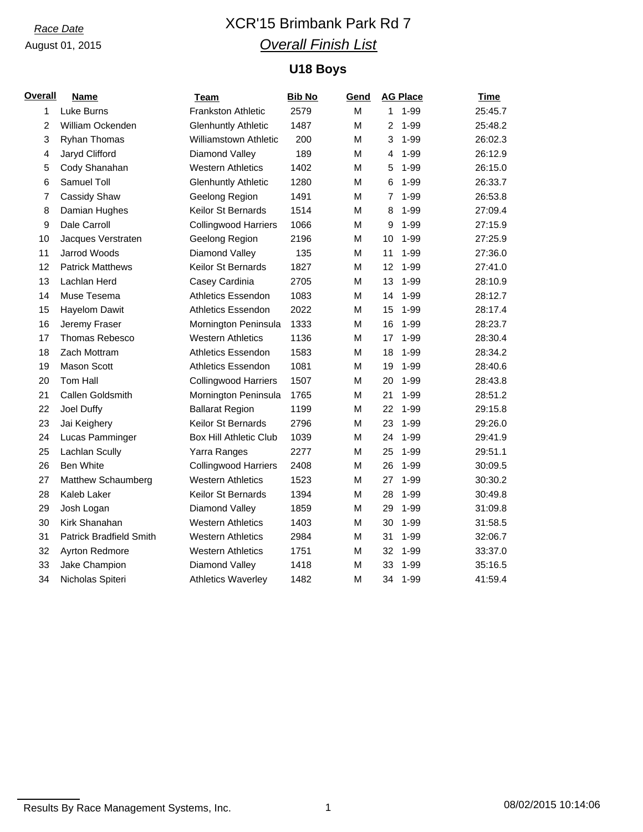# *Race Date* XCR'15 Brimbank Park Rd 7 *Overall Finish List*

## **U18 Boys**

| <u>Overall</u> | <b>Name</b>                    | <b>Team</b>                   | <b>Bib No</b> | Gend | <b>AG Place</b>            | <b>Time</b> |
|----------------|--------------------------------|-------------------------------|---------------|------|----------------------------|-------------|
| $\mathbf{1}$   | Luke Burns                     | <b>Frankston Athletic</b>     | 2579          | M    | $1 - 99$<br>1              | 25:45.7     |
| $\overline{2}$ | William Ockenden               | <b>Glenhuntly Athletic</b>    | 1487          | M    | $\overline{2}$<br>$1 - 99$ | 25:48.2     |
| 3              | <b>Ryhan Thomas</b>            | Williamstown Athletic         | 200           | M    | 3<br>$1 - 99$              | 26:02.3     |
| 4              | Jaryd Clifford                 | Diamond Valley                | 189           | М    | $1 - 99$<br>4              | 26:12.9     |
| 5              | Cody Shanahan                  | <b>Western Athletics</b>      | 1402          | M    | $1 - 99$<br>5              | 26:15.0     |
| 6              | Samuel Toll                    | <b>Glenhuntly Athletic</b>    | 1280          | М    | $1 - 99$<br>6              | 26:33.7     |
| 7              | Cassidy Shaw                   | Geelong Region                | 1491          | М    | $\overline{7}$<br>$1 - 99$ | 26:53.8     |
| 8              | Damian Hughes                  | Keilor St Bernards            | 1514          | M    | 8<br>$1 - 99$              | 27:09.4     |
| 9              | Dale Carroll                   | <b>Collingwood Harriers</b>   | 1066          | М    | 9<br>$1 - 99$              | 27:15.9     |
| 10             | Jacques Verstraten             | Geelong Region                | 2196          | M    | $1 - 99$<br>10             | 27:25.9     |
| 11             | <b>Jarrod Woods</b>            | Diamond Valley                | 135           | М    | $1 - 99$<br>11             | 27:36.0     |
| 12             | <b>Patrick Matthews</b>        | Keilor St Bernards            | 1827          | м    | 12<br>$1 - 99$             | 27:41.0     |
| 13             | Lachlan Herd                   | Casey Cardinia                | 2705          | M    | 13<br>$1 - 99$             | 28:10.9     |
| 14             | Muse Tesema                    | Athletics Essendon            | 1083          | M    | $1 - 99$<br>14             | 28:12.7     |
| 15             | Hayelom Dawit                  | <b>Athletics Essendon</b>     | 2022          | M    | 15<br>$1 - 99$             | 28:17.4     |
| 16             | Jeremy Fraser                  | Mornington Peninsula          | 1333          | M    | $1 - 99$<br>16             | 28:23.7     |
| 17             | Thomas Rebesco                 | <b>Western Athletics</b>      | 1136          | М    | 17<br>$1 - 99$             | 28:30.4     |
| 18             | Zach Mottram                   | <b>Athletics Essendon</b>     | 1583          | М    | $1 - 99$<br>18             | 28:34.2     |
| 19             | <b>Mason Scott</b>             | Athletics Essendon            | 1081          | м    | 19<br>$1 - 99$             | 28:40.6     |
| 20             | Tom Hall                       | <b>Collingwood Harriers</b>   | 1507          | M    | $1 - 99$<br>20             | 28:43.8     |
| 21             | Callen Goldsmith               | Mornington Peninsula          | 1765          | M    | $1 - 99$<br>21             | 28:51.2     |
| 22             | Joel Duffy                     | <b>Ballarat Region</b>        | 1199          | M    | $1 - 99$<br>22             | 29:15.8     |
| 23             | Jai Keighery                   | Keilor St Bernards            | 2796          | M    | 23<br>$1 - 99$             | 29:26.0     |
| 24             | Lucas Pamminger                | <b>Box Hill Athletic Club</b> | 1039          | M    | $1 - 99$<br>24             | 29:41.9     |
| 25             | Lachlan Scully                 | Yarra Ranges                  | 2277          | М    | $1 - 99$<br>25             | 29:51.1     |
| 26             | <b>Ben White</b>               | <b>Collingwood Harriers</b>   | 2408          | M    | 26<br>$1 - 99$             | 30:09.5     |
| 27             | Matthew Schaumberg             | <b>Western Athletics</b>      | 1523          | M    | $1 - 99$<br>27             | 30:30.2     |
| 28             | Kaleb Laker                    | Keilor St Bernards            | 1394          | M    | 28<br>$1 - 99$             | 30:49.8     |
| 29             | Josh Logan                     | Diamond Valley                | 1859          | M    | 29<br>$1 - 99$             | 31:09.8     |
| 30             | Kirk Shanahan                  | <b>Western Athletics</b>      | 1403          | М    | $1 - 99$<br>30             | 31:58.5     |
| 31             | <b>Patrick Bradfield Smith</b> | <b>Western Athletics</b>      | 2984          | м    | 31<br>$1 - 99$             | 32:06.7     |
| 32             | <b>Ayrton Redmore</b>          | <b>Western Athletics</b>      | 1751          | М    | $1 - 99$<br>32             | 33:37.0     |
| 33             | Jake Champion                  | Diamond Valley                | 1418          | M    | 33<br>$1 - 99$             | 35:16.5     |
| 34             | Nicholas Spiteri               | <b>Athletics Waverley</b>     | 1482          | M    | $1 - 99$<br>34             | 41:59.4     |

Results By Race Management Systems, Inc. 1 08/02/2015 10:14:06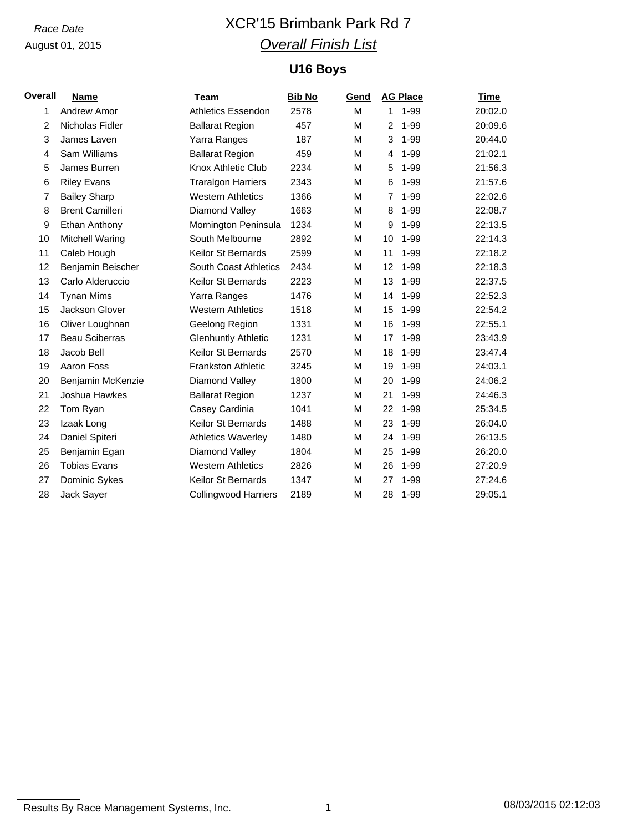# *Race Date* XCR'15 Brimbank Park Rd 7 *Overall Finish List*

## **U16 Boys**

| <b>Overall</b> | <b>Name</b>            | Team                         | <b>Bib No</b> | Gend |                | <b>AG Place</b> | <b>Time</b> |
|----------------|------------------------|------------------------------|---------------|------|----------------|-----------------|-------------|
| 1              | Andrew Amor            | <b>Athletics Essendon</b>    | 2578          | M    | 1              | $1 - 99$        | 20:02.0     |
| $\overline{2}$ | Nicholas Fidler        | <b>Ballarat Region</b>       | 457           | M    | 2              | $1 - 99$        | 20:09.6     |
| 3              | James Laven            | Yarra Ranges                 | 187           | м    | 3              | $1 - 99$        | 20:44.0     |
| 4              | Sam Williams           | <b>Ballarat Region</b>       | 459           | м    | 4              | $1 - 99$        | 21:02.1     |
| 5              | James Burren           | Knox Athletic Club           | 2234          | М    | 5              | $1 - 99$        | 21:56.3     |
| 6              | <b>Riley Evans</b>     | <b>Traralgon Harriers</b>    | 2343          | м    | 6              | $1 - 99$        | 21:57.6     |
| 7              | <b>Bailey Sharp</b>    | <b>Western Athletics</b>     | 1366          | М    | $\overline{7}$ | $1 - 99$        | 22:02.6     |
| 8              | <b>Brent Camilleri</b> | Diamond Valley               | 1663          | м    | 8              | $1 - 99$        | 22:08.7     |
| 9              | Ethan Anthony          | Mornington Peninsula         | 1234          | М    | 9              | $1 - 99$        | 22:13.5     |
| 10             | <b>Mitchell Waring</b> | South Melbourne              | 2892          | М    | 10             | $1 - 99$        | 22:14.3     |
| 11             | Caleb Hough            | <b>Keilor St Bernards</b>    | 2599          | М    | 11             | $1 - 99$        | 22:18.2     |
| 12             | Benjamin Beischer      | <b>South Coast Athletics</b> | 2434          | M    | 12             | $1 - 99$        | 22:18.3     |
| 13             | Carlo Alderuccio       | <b>Keilor St Bernards</b>    | 2223          | M    | 13             | $1 - 99$        | 22:37.5     |
| 14             | <b>Tynan Mims</b>      | Yarra Ranges                 | 1476          | м    | 14             | $1 - 99$        | 22:52.3     |
| 15             | Jackson Glover         | <b>Western Athletics</b>     | 1518          | м    | 15             | $1 - 99$        | 22:54.2     |
| 16             | Oliver Loughnan        | Geelong Region               | 1331          | м    | 16             | $1 - 99$        | 22:55.1     |
| 17             | <b>Beau Sciberras</b>  | <b>Glenhuntly Athletic</b>   | 1231          | м    | 17             | $1 - 99$        | 23:43.9     |
| 18             | Jacob Bell             | <b>Keilor St Bernards</b>    | 2570          | М    | 18             | $1 - 99$        | 23:47.4     |
| 19             | Aaron Foss             | <b>Frankston Athletic</b>    | 3245          | м    | 19             | $1 - 99$        | 24:03.1     |
| 20             | Benjamin McKenzie      | Diamond Valley               | 1800          | М    | 20             | 1-99            | 24:06.2     |
| 21             | Joshua Hawkes          | <b>Ballarat Region</b>       | 1237          | м    | 21             | $1 - 99$        | 24:46.3     |
| 22             | Tom Ryan               | Casey Cardinia               | 1041          | M    | 22             | $1 - 99$        | 25:34.5     |
| 23             | Izaak Long             | <b>Keilor St Bernards</b>    | 1488          | м    | 23             | $1 - 99$        | 26:04.0     |
| 24             | Daniel Spiteri         | <b>Athletics Waverley</b>    | 1480          | М    | 24             | $1 - 99$        | 26:13.5     |
| 25             | Benjamin Egan          | Diamond Valley               | 1804          | М    | 25             | 1-99            | 26:20.0     |
| 26             | <b>Tobias Evans</b>    | <b>Western Athletics</b>     | 2826          | М    | 26             | $1 - 99$        | 27:20.9     |
| 27             | Dominic Sykes          | <b>Keilor St Bernards</b>    | 1347          | м    | 27             | $1 - 99$        | 27:24.6     |
| 28             | Jack Sayer             | <b>Collingwood Harriers</b>  | 2189          | M    | 28             | $1 - 99$        | 29:05.1     |

Results By Race Management Systems, Inc. 1 08/03/2015 02:12:03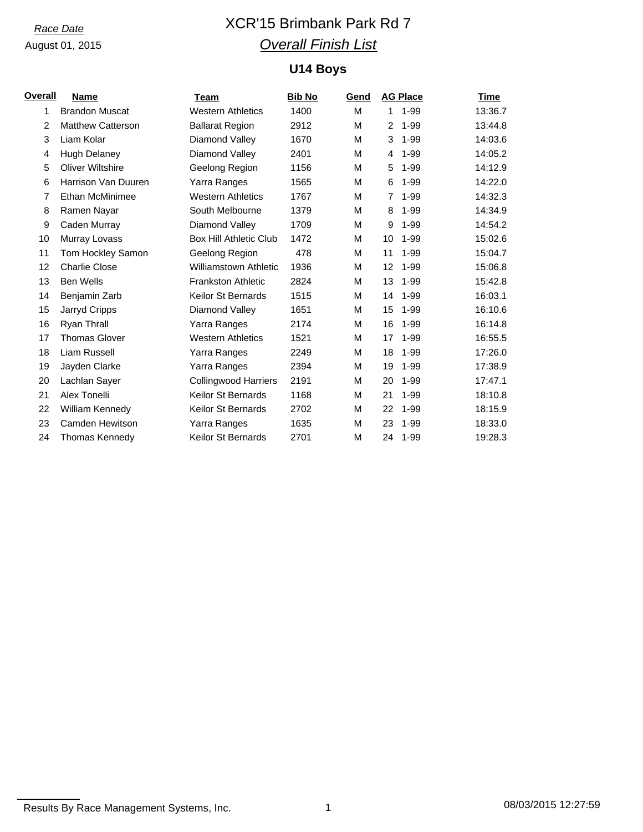# *Race Date* XCR'15 Brimbank Park Rd 7 *Overall Finish List*

## **U14 Boys**

| <b>Overall</b> | <b>Name</b>              | Team                          | <b>Bib No</b> | Gend |                | <b>AG Place</b> | Time    |
|----------------|--------------------------|-------------------------------|---------------|------|----------------|-----------------|---------|
| 1              | <b>Brandon Muscat</b>    | <b>Western Athletics</b>      | 1400          | M    | 1              | $1 - 99$        | 13:36.7 |
| $\overline{2}$ | <b>Matthew Catterson</b> | <b>Ballarat Region</b>        | 2912          | М    | 2              | $1 - 99$        | 13:44.8 |
| 3              | Liam Kolar               | Diamond Valley                | 1670          | м    | 3              | $1 - 99$        | 14:03.6 |
| 4              | <b>Hugh Delaney</b>      | Diamond Valley                | 2401          | м    | 4              | $1 - 99$        | 14:05.2 |
| 5              | <b>Oliver Wiltshire</b>  | Geelong Region                | 1156          | м    | 5              | $1 - 99$        | 14:12.9 |
| 6              | Harrison Van Duuren      | Yarra Ranges                  | 1565          | М    | 6              | $1 - 99$        | 14:22.0 |
| 7              | Ethan McMinimee          | <b>Western Athletics</b>      | 1767          | М    | $\overline{7}$ | $1 - 99$        | 14:32.3 |
| 8              | Ramen Nayar              | South Melbourne               | 1379          | м    | 8              | $1 - 99$        | 14:34.9 |
| 9              | Caden Murray             | Diamond Valley                | 1709          | М    | 9              | $1 - 99$        | 14:54.2 |
| 10             | Murray Lovass            | <b>Box Hill Athletic Club</b> | 1472          | м    | 10             | $1 - 99$        | 15:02.6 |
| 11             | Tom Hockley Samon        | Geelong Region                | 478           | м    | 11             | $1 - 99$        | 15:04.7 |
| 12             | <b>Charlie Close</b>     | <b>Williamstown Athletic</b>  | 1936          | М    | 12             | $1 - 99$        | 15:06.8 |
| 13             | <b>Ben Wells</b>         | <b>Frankston Athletic</b>     | 2824          | М    | 13             | $1 - 99$        | 15:42.8 |
| 14             | Benjamin Zarb            | <b>Keilor St Bernards</b>     | 1515          | М    | 14             | $1 - 99$        | 16:03.1 |
| 15             | Jarryd Cripps            | Diamond Valley                | 1651          | М    | 15             | $1 - 99$        | 16:10.6 |
| 16             | Ryan Thrall              | Yarra Ranges                  | 2174          | м    | 16             | $1 - 99$        | 16:14.8 |
| 17             | <b>Thomas Glover</b>     | <b>Western Athletics</b>      | 1521          | м    | 17             | $1 - 99$        | 16:55.5 |
| 18             | Liam Russell             | Yarra Ranges                  | 2249          | М    | 18             | $1 - 99$        | 17:26.0 |
| 19             | Jayden Clarke            | Yarra Ranges                  | 2394          | М    | 19             | $1 - 99$        | 17:38.9 |
| 20             | Lachlan Sayer            | <b>Collingwood Harriers</b>   | 2191          | М    | 20             | $1 - 99$        | 17:47.1 |
| 21             | Alex Tonelli             | <b>Keilor St Bernards</b>     | 1168          | М    | 21             | $1 - 99$        | 18:10.8 |
| 22             | William Kennedy          | <b>Keilor St Bernards</b>     | 2702          | м    | 22             | $1 - 99$        | 18:15.9 |
| 23             | Camden Hewitson          | Yarra Ranges                  | 1635          | М    | 23             | $1 - 99$        | 18:33.0 |
| 24             | <b>Thomas Kennedy</b>    | Keilor St Bernards            | 2701          | М    |                | 24 1-99         | 19:28.3 |

Results By Race Management Systems, Inc. 1 08/03/2015 12:27:59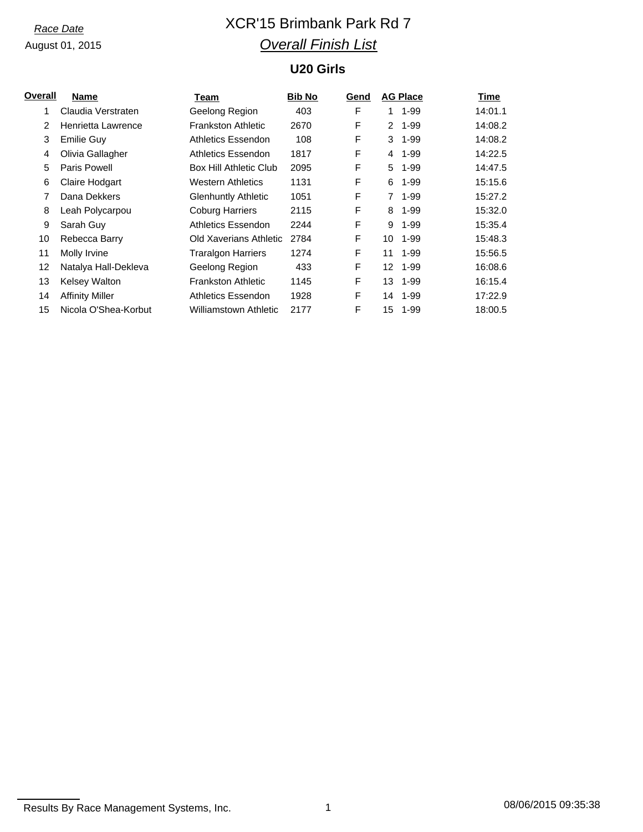# *Race Date* XCR'15 Brimbank Park Rd 7 *Overall Finish List*

## **U20 Girls**

| <b>Name</b>            | Team                       | <b>Bib No</b> | Gend |                      |          | Time                            |
|------------------------|----------------------------|---------------|------|----------------------|----------|---------------------------------|
| Claudia Verstraten     | Geelong Region             | 403           | F    | 1.                   | $1 - 99$ | 14:01.1                         |
| Henrietta Lawrence     | <b>Frankston Athletic</b>  | 2670          | F    | $\mathbf{2}^{\circ}$ | $1 - 99$ | 14:08.2                         |
| Emilie Guy             | Athletics Essendon         | 108           | F    | 3                    | $1 - 99$ | 14:08.2                         |
| Olivia Gallagher       | Athletics Essendon         | 1817          | F    | 4                    | $1 - 99$ | 14:22.5                         |
| Paris Powell           | Box Hill Athletic Club     | 2095          | F    | 5                    | $1 - 99$ | 14:47.5                         |
| Claire Hodgart         | <b>Western Athletics</b>   | 1131          | F    | 6                    | $1 - 99$ | 15:15.6                         |
| Dana Dekkers           | <b>Glenhuntly Athletic</b> | 1051          | F    | $\overline{7}$       | $1 - 99$ | 15:27.2                         |
| Leah Polycarpou        | <b>Coburg Harriers</b>     | 2115          | F    | 8                    | $1 - 99$ | 15:32.0                         |
| Sarah Guy              | Athletics Essendon         | 2244          | F    | 9                    | $1 - 99$ | 15:35.4                         |
| Rebecca Barry          | Old Xaverians Athletic     | 2784          | F    | 10                   | $1 - 99$ | 15:48.3                         |
| Molly Irvine           | <b>Traralgon Harriers</b>  | 1274          | F    | 11                   | $1 - 99$ | 15:56.5                         |
| Natalya Hall-Dekleva   | Geelong Region             | 433           | F    | 12.                  | $1 - 99$ | 16:08.6                         |
| Kelsey Walton          | <b>Frankston Athletic</b>  | 1145          | F    | 13                   |          | 16:15.4                         |
| <b>Affinity Miller</b> | Athletics Essendon         | 1928          | F    | 14                   |          | 17:22.9                         |
| Nicola O'Shea-Korbut   | Williamstown Athletic      | 2177          | F    | 15                   | $1 - 99$ | 18:00.5                         |
|                        |                            |               |      |                      |          | <b>AG Place</b><br>1-99<br>1-99 |

Results By Race Management Systems, Inc. 1 08/06/2015 09:35:38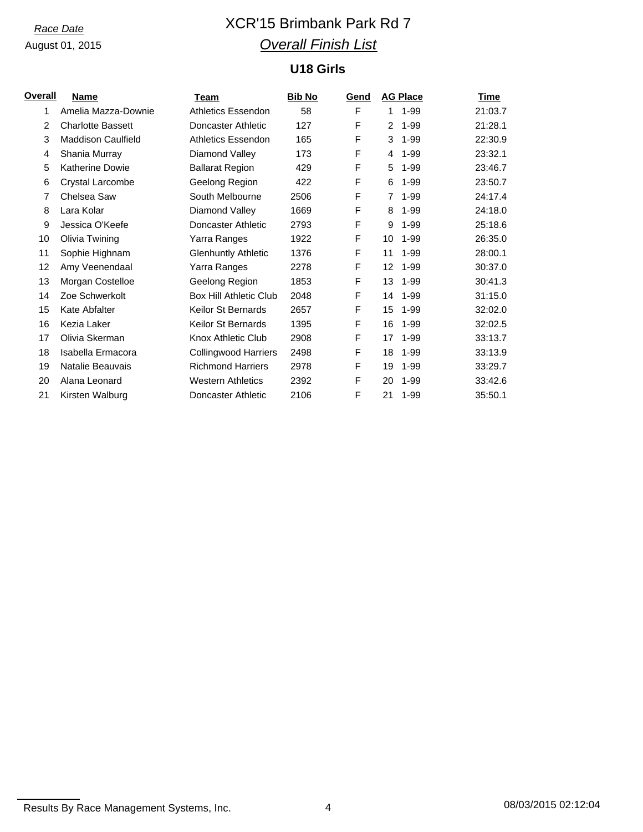# *Race Date* XCR'15 Brimbank Park Rd 7 *Overall Finish List*

## **U18 Girls**

| Overall | <b>Name</b>               | Team                          | <b>Bib No</b> | Gend | <b>AG Place</b> | <b>Time</b>         |
|---------|---------------------------|-------------------------------|---------------|------|-----------------|---------------------|
| 1       | Amelia Mazza-Downie       | <b>Athletics Essendon</b>     | 58            | F    | 1               | 21:03.7<br>$1 - 99$ |
| 2       | <b>Charlotte Bassett</b>  | Doncaster Athletic            | 127           | F    | 2               | 21:28.1<br>$1 - 99$ |
| 3       | <b>Maddison Caulfield</b> | <b>Athletics Essendon</b>     | 165           | F    | 3               | 22:30.9<br>$1 - 99$ |
| 4       | Shania Murray             | Diamond Valley                | 173           | F    | 4               | $1 - 99$<br>23:32.1 |
| 5       | <b>Katherine Dowie</b>    | <b>Ballarat Region</b>        | 429           | F    | 5               | $1 - 99$<br>23:46.7 |
| 6       | Crystal Larcombe          | Geelong Region                | 422           | F    | 6               | $1 - 99$<br>23:50.7 |
| 7       | Chelsea Saw               | South Melbourne               | 2506          | F    | $\overline{7}$  | $1 - 99$<br>24:17.4 |
| 8       | Lara Kolar                | Diamond Valley                | 1669          | F    | 8               | 24:18.0<br>$1 - 99$ |
| 9       | Jessica O'Keefe           | Doncaster Athletic            | 2793          | F    | 9               | $1 - 99$<br>25:18.6 |
| 10      | Olivia Twining            | Yarra Ranges                  | 1922          | F    | 10              | $1 - 99$<br>26:35.0 |
| 11      | Sophie Highnam            | <b>Glenhuntly Athletic</b>    | 1376          | F    | 11              | 28:00.1<br>$1 - 99$ |
| 12      | Amy Veenendaal            | Yarra Ranges                  | 2278          | F    | 12              | 30:37.0<br>$1 - 99$ |
| 13      | Morgan Costelloe          | Geelong Region                | 1853          | F    | 13              | 30:41.3<br>$1 - 99$ |
| 14      | Zoe Schwerkolt            | <b>Box Hill Athletic Club</b> | 2048          | F    | 14              | 31:15.0<br>$1 - 99$ |
| 15      | Kate Abfalter             | Keilor St Bernards            | 2657          | F    | 15              | 32:02.0<br>$1 - 99$ |
| 16      | Kezia Laker               | <b>Keilor St Bernards</b>     | 1395          | F    | 16              | $1 - 99$<br>32:02.5 |
| 17      | Olivia Skerman            | Knox Athletic Club            | 2908          | F    | 17              | $1 - 99$<br>33:13.7 |
| 18      | Isabella Ermacora         | <b>Collingwood Harriers</b>   | 2498          | F    | 18              | 1-99<br>33:13.9     |
| 19      | Natalie Beauvais          | <b>Richmond Harriers</b>      | 2978          | F    | 19              | $1 - 99$<br>33:29.7 |
| 20      | Alana Leonard             | <b>Western Athletics</b>      | 2392          | F    | 20              | 1-99<br>33:42.6     |
| 21      | Kirsten Walburg           | Doncaster Athletic            | 2106          | F    | 21              | 1-99<br>35:50.1     |

Results By Race Management Systems, Inc. 4 08/03/2015 02:12:04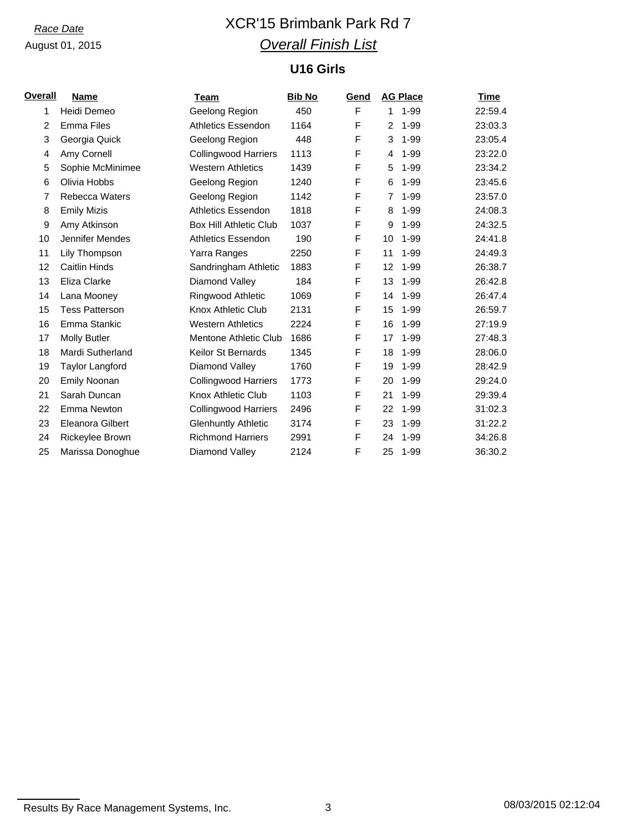# *Race Date* XCR'15 Brimbank Park Rd 7 *Overall Finish List*

## **U16 Girls**

| <b>Overall</b> | <b>Name</b>             | Team                          | <b>Bib No</b> | Gend |                | <b>AG Place</b> | Time    |
|----------------|-------------------------|-------------------------------|---------------|------|----------------|-----------------|---------|
| 1              | Heidi Demeo             | Geelong Region                | 450           | F    | 1.             | $1 - 99$        | 22:59.4 |
| 2              | <b>Emma Files</b>       | <b>Athletics Essendon</b>     | 1164          | F    | $\overline{2}$ | $1 - 99$        | 23:03.3 |
| 3              | Georgia Quick           | Geelong Region                | 448           | F    | 3              | $1 - 99$        | 23:05.4 |
| 4              | Amy Cornell             | <b>Collingwood Harriers</b>   | 1113          | F    | 4              | $1 - 99$        | 23:22.0 |
| 5              | Sophie McMinimee        | <b>Western Athletics</b>      | 1439          | F    | 5              | $1 - 99$        | 23:34.2 |
| 6              | Olivia Hobbs            | Geelong Region                | 1240          | F    | 6              | $1 - 99$        | 23:45.6 |
| $\overline{7}$ | <b>Rebecca Waters</b>   | Geelong Region                | 1142          | F    | $\overline{7}$ | $1 - 99$        | 23:57.0 |
| 8              | <b>Emily Mizis</b>      | <b>Athletics Essendon</b>     | 1818          | F    | 8              | $1 - 99$        | 24:08.3 |
| 9              | Amy Atkinson            | <b>Box Hill Athletic Club</b> | 1037          | F    | 9              | $1 - 99$        | 24:32.5 |
| 10             | Jennifer Mendes         | <b>Athletics Essendon</b>     | 190           | F    | 10             | $1 - 99$        | 24:41.8 |
| 11             | Lily Thompson           | Yarra Ranges                  | 2250          | F    | 11             | 1-99            | 24:49.3 |
| 12             | <b>Caitlin Hinds</b>    | Sandringham Athletic          | 1883          | F    | 12             | 1-99            | 26:38.7 |
| 13             | Eliza Clarke            | Diamond Valley                | 184           | F    | 13             | 1-99            | 26:42.8 |
| 14             | Lana Mooney             | Ringwood Athletic             | 1069          | F    | 14             | $1 - 99$        | 26:47.4 |
| 15             | <b>Tess Patterson</b>   | Knox Athletic Club            | 2131          | F    | 15             | $1 - 99$        | 26:59.7 |
| 16             | Emma Stankic            | <b>Western Athletics</b>      | 2224          | F    | 16             | $1 - 99$        | 27:19.9 |
| 17             | <b>Molly Butler</b>     | Mentone Athletic Club         | 1686          | F    | 17             | $1 - 99$        | 27:48.3 |
| 18             | Mardi Sutherland        | Keilor St Bernards            | 1345          | F    | 18             | 1-99            | 28:06.0 |
| 19             | <b>Taylor Langford</b>  | Diamond Valley                | 1760          | F    | 19             | $1 - 99$        | 28:42.9 |
| 20             | <b>Emily Noonan</b>     | <b>Collingwood Harriers</b>   | 1773          | F    | 20             | $1 - 99$        | 29:24.0 |
| 21             | Sarah Duncan            | Knox Athletic Club            | 1103          | F    | 21             | $1 - 99$        | 29:39.4 |
| 22             | Emma Newton             | <b>Collingwood Harriers</b>   | 2496          | F    | 22             | $1 - 99$        | 31:02.3 |
| 23             | <b>Eleanora Gilbert</b> | <b>Glenhuntly Athletic</b>    | 3174          | F    | 23             | $1 - 99$        | 31:22.2 |
| 24             | Rickeylee Brown         | <b>Richmond Harriers</b>      | 2991          | F    | 24             | $1 - 99$        | 34:26.8 |
| 25             | Marissa Donoghue        | Diamond Valley                | 2124          | F    | 25             | 1-99            | 36:30.2 |

Results By Race Management Systems, Inc. 23 3 2015 08/03/2015 02:12:04